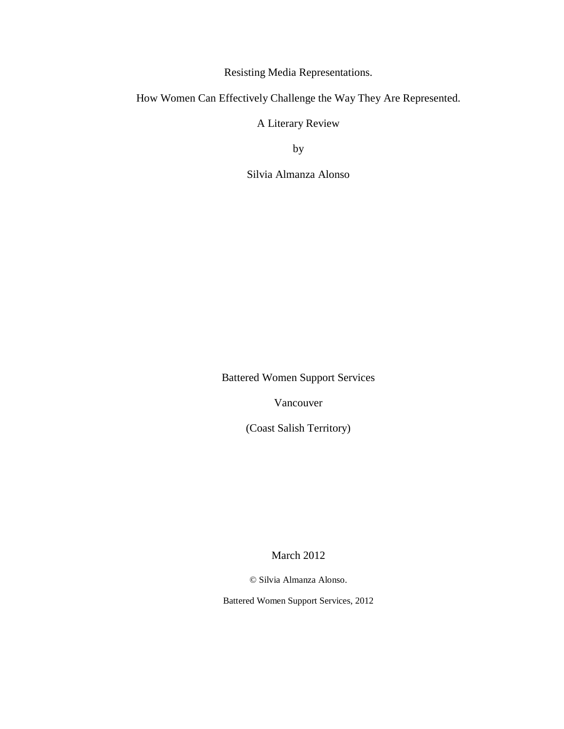Resisting Media Representations.

How Women Can Effectively Challenge the Way They Are Represented.

A Literary Review

by

Silvia Almanza Alonso

Battered Women Support Services

Vancouver

(Coast Salish Territory)

March 2012

© Silvia Almanza Alonso.

Battered Women Support Services, 2012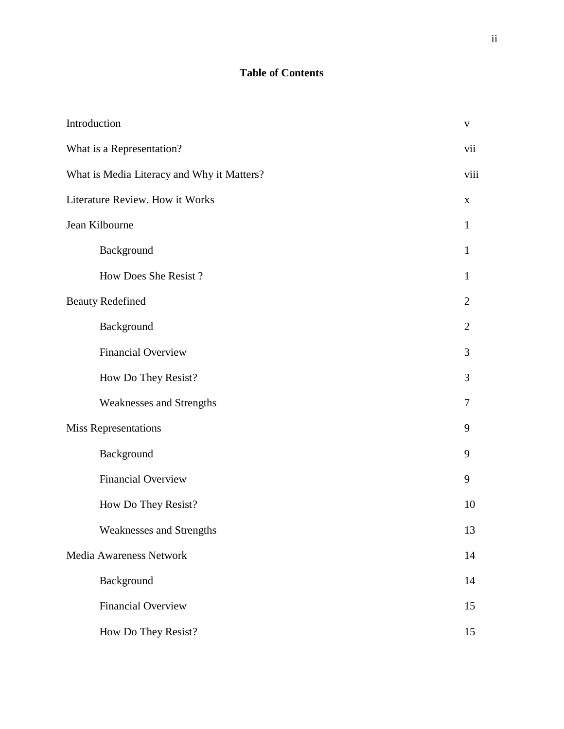# **Table of Contents**

| Introduction                               | $\mathbf{V}$   |
|--------------------------------------------|----------------|
| What is a Representation?                  | vii            |
| What is Media Literacy and Why it Matters? | viii           |
| Literature Review. How it Works            | $\mathbf X$    |
| Jean Kilbourne                             | 1              |
| Background                                 | 1              |
| How Does She Resist?                       | $\mathbf{1}$   |
| <b>Beauty Redefined</b>                    | $\overline{2}$ |
| Background                                 | $\overline{2}$ |
| <b>Financial Overview</b>                  | 3              |
| How Do They Resist?                        | 3              |
| Weaknesses and Strengths                   | 7              |
| <b>Miss Representations</b>                | 9              |
| Background                                 | 9              |
| <b>Financial Overview</b>                  | 9              |
| How Do They Resist?                        | 10             |
| <b>Weaknesses and Strengths</b>            | 13             |
| Media Awareness Network                    | 14             |
| Background                                 | 14             |
| <b>Financial Overview</b>                  | 15             |
| How Do They Resist?                        | 15             |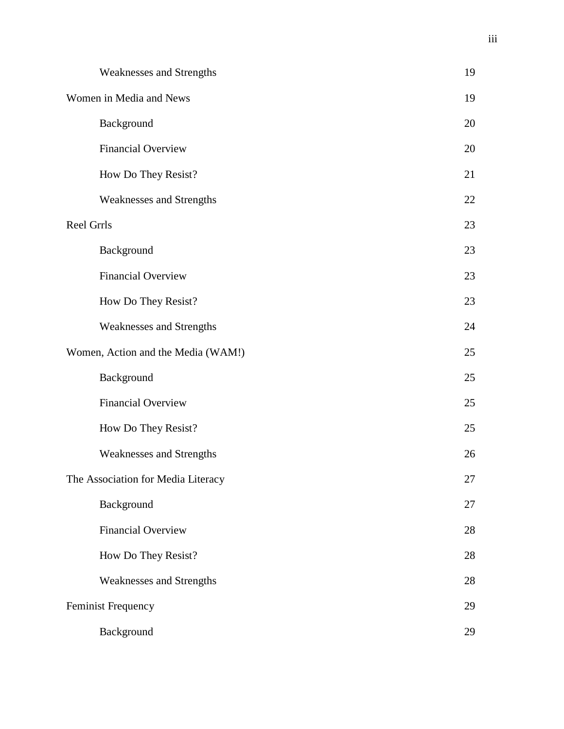| Weaknesses and Strengths           | 19 |
|------------------------------------|----|
| Women in Media and News            | 19 |
| Background                         | 20 |
| <b>Financial Overview</b>          | 20 |
| How Do They Resist?                | 21 |
| Weaknesses and Strengths           | 22 |
| Reel Grrls                         | 23 |
| Background                         | 23 |
| <b>Financial Overview</b>          | 23 |
| How Do They Resist?                | 23 |
| Weaknesses and Strengths           | 24 |
| Women, Action and the Media (WAM!) | 25 |
| Background                         | 25 |
| <b>Financial Overview</b>          | 25 |
| How Do They Resist?                | 25 |
| Weaknesses and Strengths           | 26 |
| The Association for Media Literacy | 27 |
| Background                         | 27 |
| <b>Financial Overview</b>          | 28 |
| How Do They Resist?                | 28 |
| <b>Weaknesses and Strengths</b>    | 28 |
| Feminist Frequency                 | 29 |
| Background                         | 29 |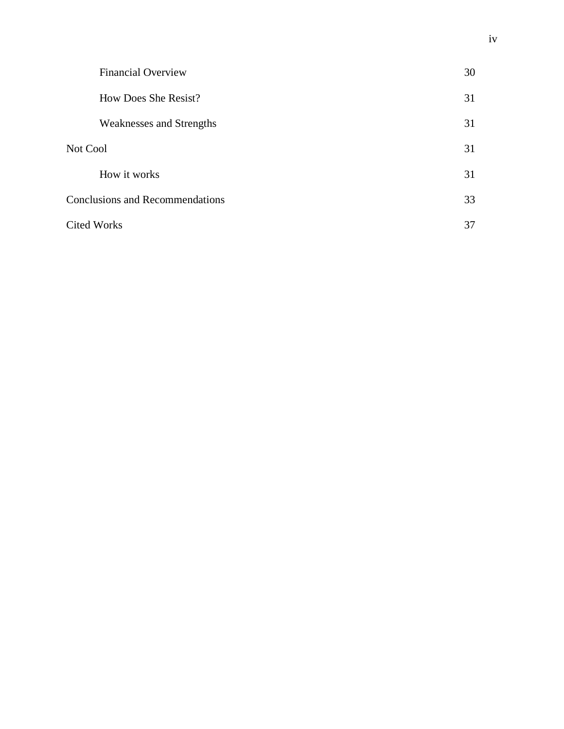| <b>Financial Overview</b>              | 30 |
|----------------------------------------|----|
| How Does She Resist?                   | 31 |
| <b>Weaknesses and Strengths</b>        | 31 |
| Not Cool                               | 31 |
| How it works                           | 31 |
| <b>Conclusions and Recommendations</b> | 33 |
| <b>Cited Works</b>                     | 37 |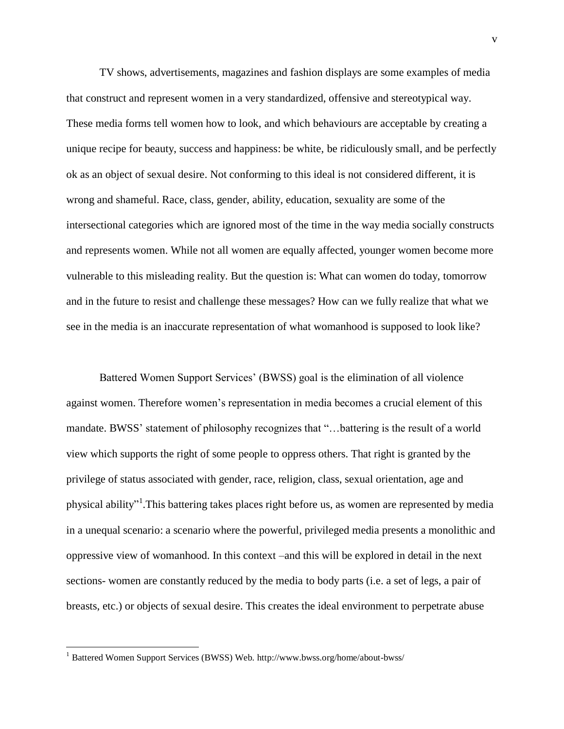TV shows, advertisements, magazines and fashion displays are some examples of media that construct and represent women in a very standardized, offensive and stereotypical way. These media forms tell women how to look, and which behaviours are acceptable by creating a unique recipe for beauty, success and happiness: be white, be ridiculously small, and be perfectly ok as an object of sexual desire. Not conforming to this ideal is not considered different, it is wrong and shameful. Race, class, gender, ability, education, sexuality are some of the intersectional categories which are ignored most of the time in the way media socially constructs and represents women. While not all women are equally affected, younger women become more vulnerable to this misleading reality. But the question is: What can women do today, tomorrow and in the future to resist and challenge these messages? How can we fully realize that what we see in the media is an inaccurate representation of what womanhood is supposed to look like?

Battered Women Support Services' (BWSS) goal is the elimination of all violence against women. Therefore women's representation in media becomes a crucial element of this mandate. BWSS' statement of philosophy recognizes that "…battering is the result of a world view which supports the right of some people to oppress others. That right is granted by the privilege of status associated with gender, race, religion, class, sexual orientation, age and physical ability"<sup>1</sup>. This battering takes places right before us, as women are represented by media in a unequal scenario: a scenario where the powerful, privileged media presents a monolithic and oppressive view of womanhood. In this context –and this will be explored in detail in the next sections- women are constantly reduced by the media to body parts (i.e. a set of legs, a pair of breasts, etc.) or objects of sexual desire. This creates the ideal environment to perpetrate abuse

<sup>1</sup> Battered Women Support Services (BWSS) Web. http://www.bwss.org/home/about-bwss/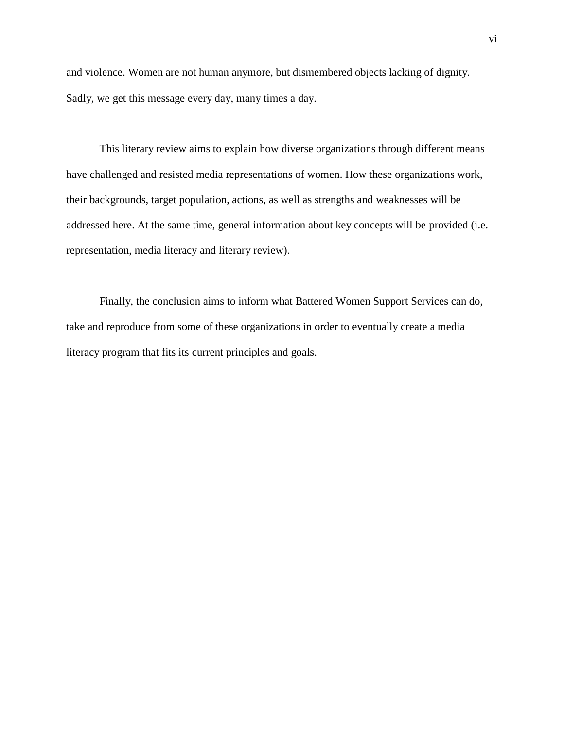and violence. Women are not human anymore, but dismembered objects lacking of dignity. Sadly, we get this message every day, many times a day.

This literary review aims to explain how diverse organizations through different means have challenged and resisted media representations of women. How these organizations work, their backgrounds, target population, actions, as well as strengths and weaknesses will be addressed here. At the same time, general information about key concepts will be provided (i.e. representation, media literacy and literary review).

Finally, the conclusion aims to inform what Battered Women Support Services can do, take and reproduce from some of these organizations in order to eventually create a media literacy program that fits its current principles and goals.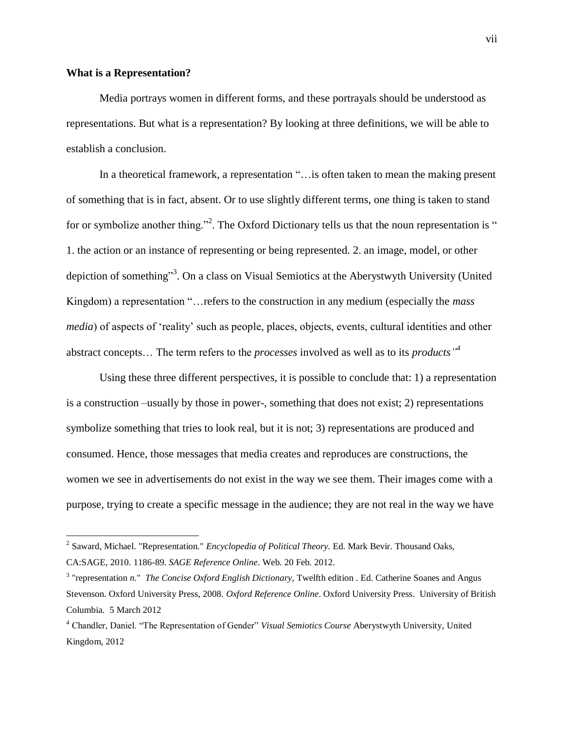#### **What is a Representation?**

 $\overline{a}$ 

Media portrays women in different forms, and these portrayals should be understood as representations. But what is a representation? By looking at three definitions, we will be able to establish a conclusion.

In a theoretical framework, a representation "... is often taken to mean the making present of something that is in fact, absent. Or to use slightly different terms, one thing is taken to stand for or symbolize another thing."<sup>2</sup>. The Oxford Dictionary tells us that the noun representation is " 1. the action or an instance of representing or being represented. 2. an image, model, or other depiction of something"<sup>3</sup>. On a class on Visual Semiotics at the Aberystwyth University (United Kingdom) a representation "…refers to the construction in any medium (especially the *mass media*) of aspects of 'reality' such as people, places, objects, events, cultural identities and other abstract concepts… The term refers to the *processes* involved as well as to its *products" 4*

Using these three different perspectives, it is possible to conclude that: 1) a representation is a construction –usually by those in power-, something that does not exist; 2) representations symbolize something that tries to look real, but it is not; 3) representations are produced and consumed. Hence, those messages that media creates and reproduces are constructions, the women we see in advertisements do not exist in the way we see them. Their images come with a purpose, trying to create a specific message in the audience; they are not real in the way we have

<sup>2</sup> Saward, Michael. "Representation." *Encyclopedia of Political Theory.* Ed. Mark Bevir. Thousand Oaks, CA:SAGE, 2010. 1186-89. *SAGE Reference Online*. Web. 20 Feb. 2012.

<sup>&</sup>lt;sup>3</sup> "representation *n.*" *The Concise Oxford English Dictionary*, Twelfth edition . Ed. Catherine Soanes and Angus Stevenson. Oxford University Press, 2008. *Oxford Reference Online*. Oxford University Press. University of British Columbia. 5 March 2012

<sup>4</sup> Chandler, Daniel. "The Representation of Gender" *Visual Semiotics Course* Aberystwyth University, United Kingdom, 2012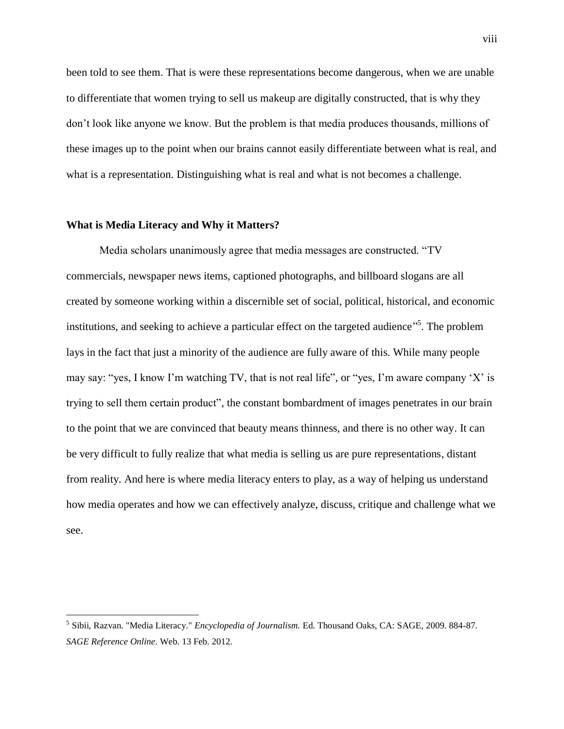been told to see them. That is were these representations become dangerous, when we are unable to differentiate that women trying to sell us makeup are digitally constructed, that is why they don't look like anyone we know. But the problem is that media produces thousands, millions of these images up to the point when our brains cannot easily differentiate between what is real, and what is a representation. Distinguishing what is real and what is not becomes a challenge.

#### **What is Media Literacy and Why it Matters?**

 $\overline{a}$ 

Media scholars unanimously agree that media messages are constructed. "TV commercials, newspaper news items, captioned photographs, and billboard slogans are all created by someone working within a discernible set of social, political, historical, and economic institutions, and seeking to achieve a particular effect on the targeted audience<sup>35</sup>. The problem lays in the fact that just a minority of the audience are fully aware of this. While many people may say: "yes, I know I'm watching TV, that is not real life", or "yes, I'm aware company 'X' is trying to sell them certain product", the constant bombardment of images penetrates in our brain to the point that we are convinced that beauty means thinness, and there is no other way. It can be very difficult to fully realize that what media is selling us are pure representations, distant from reality. And here is where media literacy enters to play, as a way of helping us understand how media operates and how we can effectively analyze, discuss, critique and challenge what we see.

<sup>5</sup> Sibii, Razvan. "Media Literacy." *Encyclopedia of Journalism.* Ed. Thousand Oaks, CA: SAGE, 2009. 884-87. *SAGE Reference Online*. Web. 13 Feb. 2012.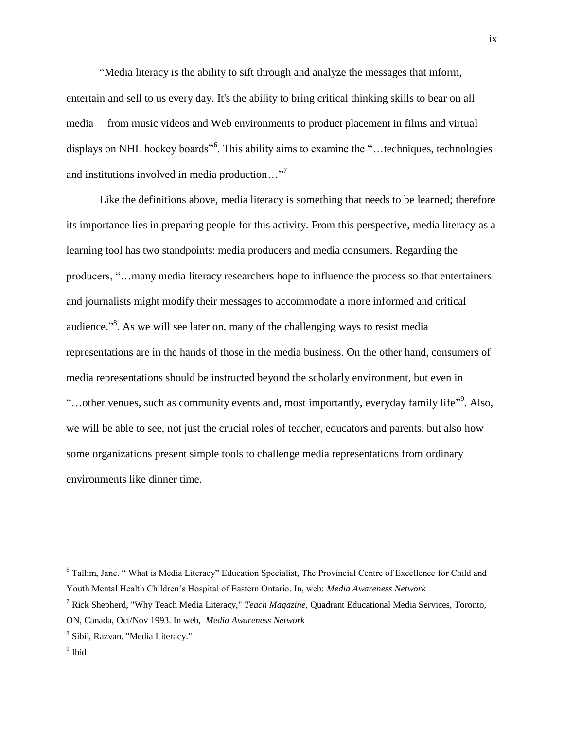"Media literacy is the ability to sift through and analyze the messages that inform, entertain and sell to us every day. It's the ability to bring critical thinking skills to bear on all media— from music videos and Web environments to product placement in films and virtual displays on NHL hockey boards<sup>"6</sup>. This ability aims to examine the "...techniques, technologies and institutions involved in media production…"<sup>7</sup>

Like the definitions above, media literacy is something that needs to be learned; therefore its importance lies in preparing people for this activity. From this perspective, media literacy as a learning tool has two standpoints: media producers and media consumers. Regarding the producers, "…many media literacy researchers hope to influence the process so that entertainers and journalists might modify their messages to accommodate a more informed and critical audience.<sup>38</sup>. As we will see later on, many of the challenging ways to resist media representations are in the hands of those in the media business. On the other hand, consumers of media representations should be instructed beyond the scholarly environment, but even in "...other venues, such as community events and, most importantly, everyday family life"<sup>9</sup>. Also, we will be able to see, not just the crucial roles of teacher, educators and parents, but also how some organizations present simple tools to challenge media representations from ordinary environments like dinner time.

<sup>&</sup>lt;sup>6</sup> Tallim, Jane. "What is Media Literacy" Education Specialist, The Provincial Centre of Excellence for Child and Youth Mental Health Children's Hospital of Eastern Ontario. In, web: *Media Awareness Network*

<sup>7</sup> Rick Shepherd, "Why Teach Media Literacy," *Teach Magazine*, Quadrant Educational Media Services, Toronto, ON, Canada, Oct/Nov 1993. In web, *Media Awareness Network*

<sup>8</sup> Sibii, Razvan. "Media Literacy."

<sup>&</sup>lt;sup>9</sup> Ibid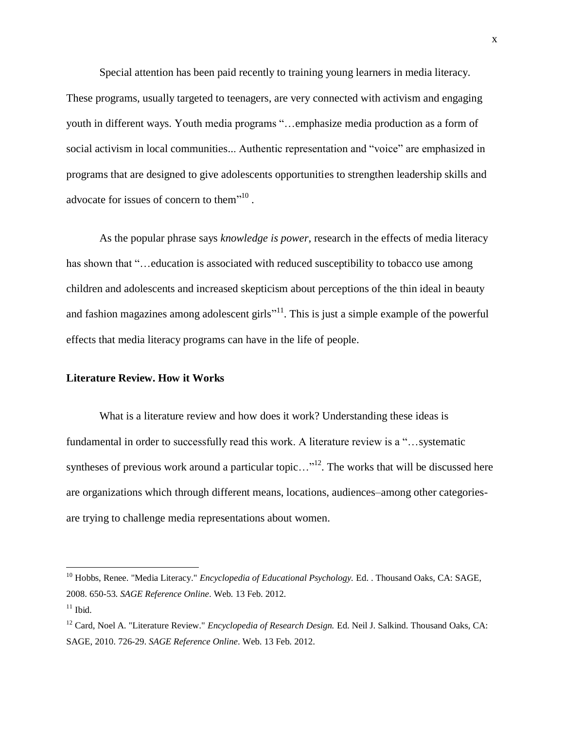Special attention has been paid recently to training young learners in media literacy. These programs, usually targeted to teenagers, are very connected with activism and engaging youth in different ways. Youth media programs "…emphasize media production as a form of social activism in local communities... Authentic representation and "voice" are emphasized in programs that are designed to give adolescents opportunities to strengthen leadership skills and advocate for issues of concern to them<sup>"10</sup>.

As the popular phrase says *knowledge is power*, research in the effects of media literacy has shown that "...education is associated with reduced susceptibility to tobacco use among children and adolescents and increased skepticism about perceptions of the thin ideal in beauty and fashion magazines among adolescent girls<sup> $11$ </sup>. This is just a simple example of the powerful effects that media literacy programs can have in the life of people.

#### **Literature Review. How it Works**

What is a literature review and how does it work? Understanding these ideas is fundamental in order to successfully read this work. A literature review is a "…systematic syntheses of previous work around a particular topic..."<sup>12</sup>. The works that will be discussed here are organizations which through different means, locations, audiences–among other categoriesare trying to challenge media representations about women.

<sup>&</sup>lt;sup>10</sup> Hobbs, Renee. "Media Literacy." *Encyclopedia of Educational Psychology*. Ed. . Thousand Oaks, CA: SAGE, 2008. 650-53. *SAGE Reference Online*. Web. 13 Feb. 2012.

 $11$  Ibid.

<sup>12</sup> Card, Noel A. "Literature Review." *Encyclopedia of Research Design.* Ed. Neil J. Salkind. Thousand Oaks, CA: SAGE, 2010. 726-29. *SAGE Reference Online*. Web. 13 Feb. 2012.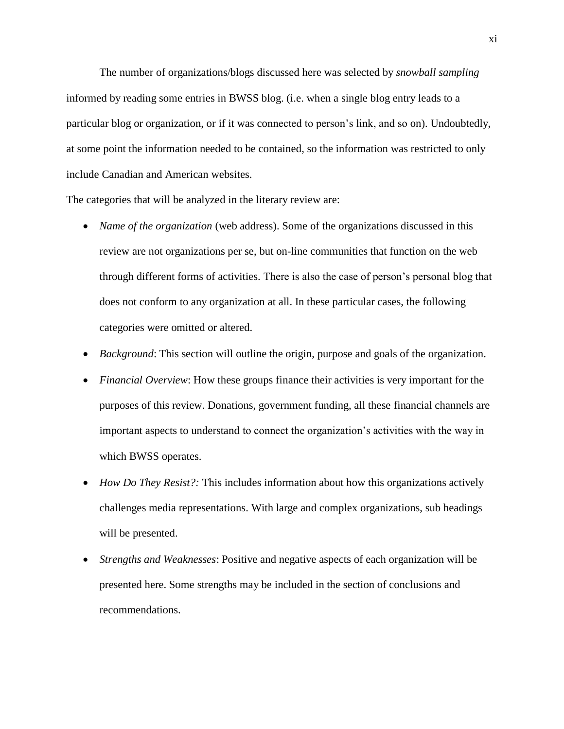The number of organizations/blogs discussed here was selected by *snowball sampling* informed by reading some entries in BWSS blog. (i.e. when a single blog entry leads to a particular blog or organization, or if it was connected to person's link, and so on). Undoubtedly, at some point the information needed to be contained, so the information was restricted to only include Canadian and American websites.

The categories that will be analyzed in the literary review are:

- *Name of the organization* (web address). Some of the organizations discussed in this review are not organizations per se, but on-line communities that function on the web through different forms of activities. There is also the case of person's personal blog that does not conform to any organization at all. In these particular cases, the following categories were omitted or altered.
- *Background*: This section will outline the origin, purpose and goals of the organization.
- *Financial Overview*: How these groups finance their activities is very important for the purposes of this review. Donations, government funding, all these financial channels are important aspects to understand to connect the organization's activities with the way in which BWSS operates.
- *How Do They Resist?*: This includes information about how this organizations actively challenges media representations. With large and complex organizations, sub headings will be presented.
- *Strengths and Weaknesses*: Positive and negative aspects of each organization will be presented here. Some strengths may be included in the section of conclusions and recommendations.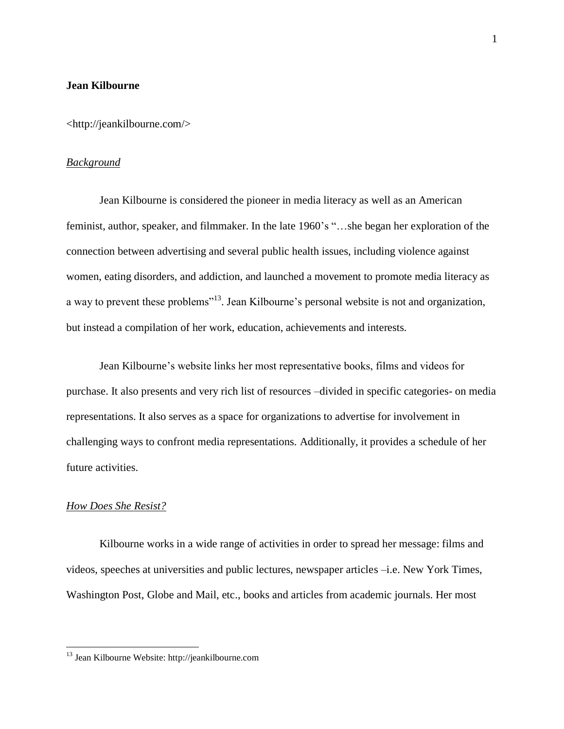#### **Jean Kilbourne**

<http://jeankilbourne.com/>

## *Background*

Jean Kilbourne is considered the pioneer in media literacy as well as an American feminist, author, speaker, and filmmaker. In the late 1960's "…she began her exploration of the connection between advertising and several public health issues, including violence against women, eating disorders, and addiction, and launched a movement to promote media literacy as a way to prevent these problems<sup>"13</sup>. Jean Kilbourne's personal website is not and organization, but instead a compilation of her work, education, achievements and interests.

Jean Kilbourne's website links her most representative books, films and videos for purchase. It also presents and very rich list of resources –divided in specific categories- on media representations. It also serves as a space for organizations to advertise for involvement in challenging ways to confront media representations. Additionally, it provides a schedule of her future activities.

## *How Does She Resist?*

 $\overline{a}$ 

Kilbourne works in a wide range of activities in order to spread her message: films and videos, speeches at universities and public lectures, newspaper articles –i.e. New York Times, Washington Post, Globe and Mail, etc., books and articles from academic journals. Her most

<sup>&</sup>lt;sup>13</sup> Jean Kilbourne Website: http://jeankilbourne.com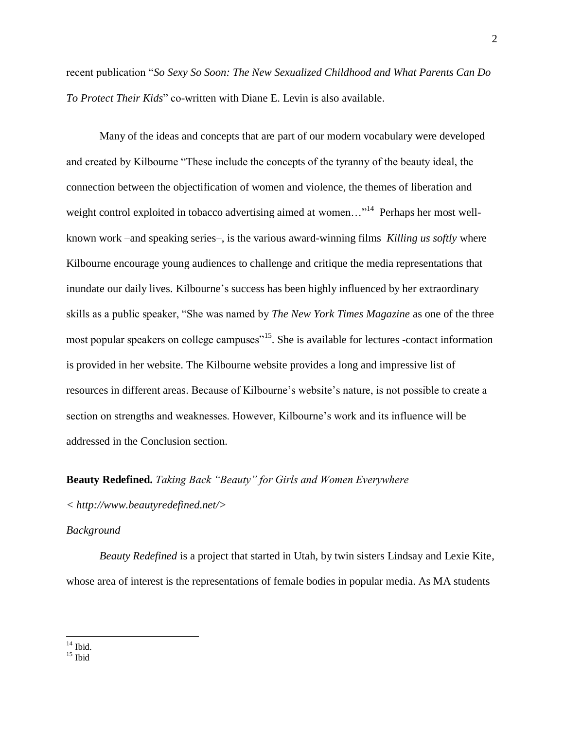recent publication "*So Sexy So Soon: The New Sexualized Childhood and What Parents Can Do To Protect Their Kids*" co-written with Diane E. Levin is also available.

Many of the ideas and concepts that are part of our modern vocabulary were developed and created by Kilbourne "These include the concepts of the tyranny of the beauty ideal, the connection between the objectification of women and violence, the themes of liberation and weight control exploited in tobacco advertising aimed at women..."<sup>14</sup> Perhaps her most wellknown work –and speaking series–, is the various award-winning films *Killing us softly* where Kilbourne encourage young audiences to challenge and critique the media representations that inundate our daily lives. Kilbourne's success has been highly influenced by her extraordinary skills as a public speaker, "She was named by *The New York Times Magazine* as one of the three most popular speakers on college campuses<sup>"15</sup>. She is available for lectures -contact information is provided in her website. The Kilbourne website provides a long and impressive list of resources in different areas. Because of Kilbourne's website's nature, is not possible to create a section on strengths and weaknesses. However, Kilbourne's work and its influence will be addressed in the Conclusion section.

#### **Beauty Redefined.** *Taking Back "Beauty" for Girls and Women Everywhere*

*< http://www.beautyredefined.net/>*

#### *Background*

*Beauty Redefined* is a project that started in Utah, by twin sisters Lindsay and Lexie Kite, whose area of interest is the representations of female bodies in popular media. As MA students

 $\overline{a}$  $14$  Ibid.

 $15$  Ibid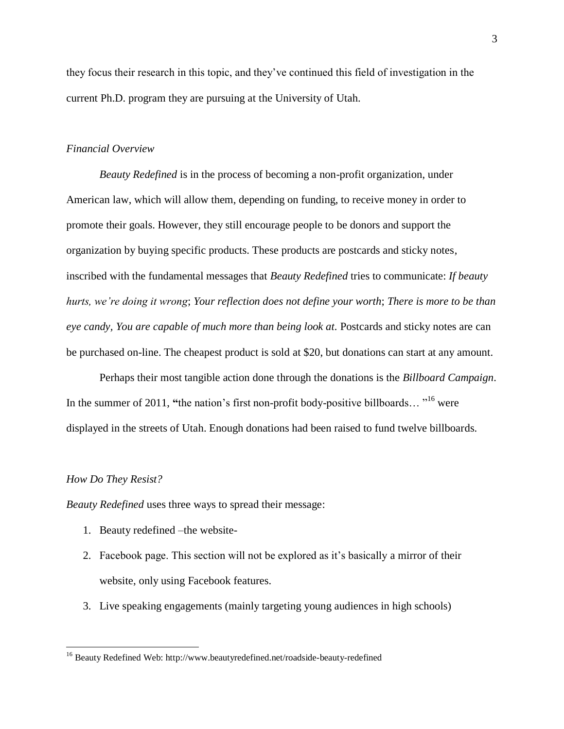they focus their research in this topic, and they've continued this field of investigation in the current Ph.D. program they are pursuing at the University of Utah.

#### *Financial Overview*

*Beauty Redefined* is in the process of becoming a non-profit organization, under American law, which will allow them, depending on funding, to receive money in order to promote their goals. However, they still encourage people to be donors and support the organization by buying specific products. These products are postcards and sticky notes, inscribed with the fundamental messages that *Beauty Redefined* tries to communicate: *If beauty hurts, we're doing it wrong*; *Your reflection does not define your worth*; *There is more to be than eye candy, You are capable of much more than being look at.* Postcards and sticky notes are can be purchased on-line. The cheapest product is sold at \$20, but donations can start at any amount.

Perhaps their most tangible action done through the donations is the *Billboard Campaign*. In the summer of 2011, "the nation's first non-profit body-positive billboards..."<sup>16</sup> were displayed in the streets of Utah. Enough donations had been raised to fund twelve billboards.

#### *How Do They Resist?*

 $\overline{a}$ 

*Beauty Redefined* uses three ways to spread their message:

- 1. Beauty redefined –the website-
- 2. Facebook page. This section will not be explored as it's basically a mirror of their website, only using Facebook features.
- 3. Live speaking engagements (mainly targeting young audiences in high schools)

<sup>&</sup>lt;sup>16</sup> Beauty Redefined Web: http://www.beautyredefined.net/roadside-beauty-redefined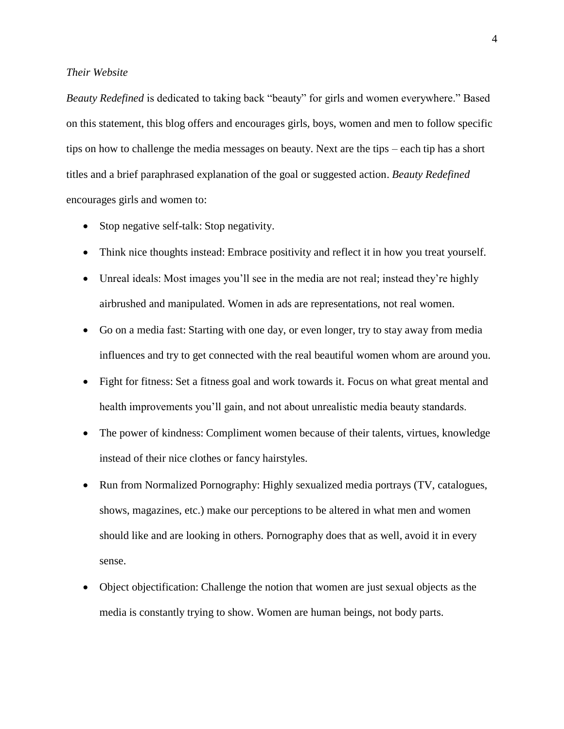## *Their Website*

*Beauty Redefined* is dedicated to taking back "beauty" for girls and women everywhere." Based on this statement, this blog offers and encourages girls, boys, women and men to follow specific tips on how to challenge the media messages on beauty. Next are the tips – each tip has a short titles and a brief paraphrased explanation of the goal or suggested action. *Beauty Redefined* encourages girls and women to:

- Stop negative self-talk: Stop negativity.
- Think nice thoughts instead: Embrace positivity and reflect it in how you treat yourself.
- Unreal ideals: Most images you'll see in the media are not real; instead they're highly airbrushed and manipulated. Women in ads are representations, not real women.
- Go on a media fast: Starting with one day, or even longer, try to stay away from media influences and try to get connected with the real beautiful women whom are around you.
- Fight for fitness: Set a fitness goal and work towards it. Focus on what great mental and health improvements you'll gain, and not about unrealistic media beauty standards.
- The power of kindness: Compliment women because of their talents, virtues, knowledge instead of their nice clothes or fancy hairstyles.
- Run from Normalized Pornography: Highly sexualized media portrays (TV, catalogues, shows, magazines, etc.) make our perceptions to be altered in what men and women should like and are looking in others. Pornography does that as well, avoid it in every sense.
- Object objectification: Challenge the notion that women are just sexual objects as the media is constantly trying to show. Women are human beings, not body parts.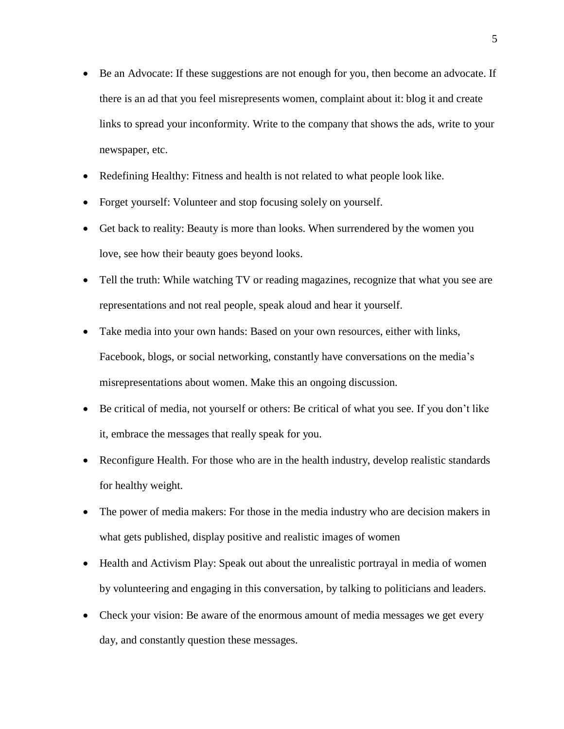- Be an Advocate: If these suggestions are not enough for you, then become an advocate. If there is an ad that you feel misrepresents women, complaint about it: blog it and create links to spread your inconformity. Write to the company that shows the ads, write to your newspaper, etc.
- Redefining Healthy: Fitness and health is not related to what people look like.
- Forget yourself: Volunteer and stop focusing solely on yourself.
- Get back to reality: Beauty is more than looks. When surrendered by the women you love, see how their beauty goes beyond looks.
- Tell the truth: While watching TV or reading magazines, recognize that what you see are representations and not real people, speak aloud and hear it yourself.
- Take media into your own hands: Based on your own resources, either with links, Facebook, blogs, or social networking, constantly have conversations on the media's misrepresentations about women. Make this an ongoing discussion.
- Be critical of media, not yourself or others: Be critical of what you see. If you don't like it, embrace the messages that really speak for you.
- Reconfigure Health. For those who are in the health industry, develop realistic standards for healthy weight.
- The power of media makers: For those in the media industry who are decision makers in what gets published, display positive and realistic images of women
- Health and Activism Play: Speak out about the unrealistic portrayal in media of women by volunteering and engaging in this conversation, by talking to politicians and leaders.
- Check your vision: Be aware of the enormous amount of media messages we get every day, and constantly question these messages.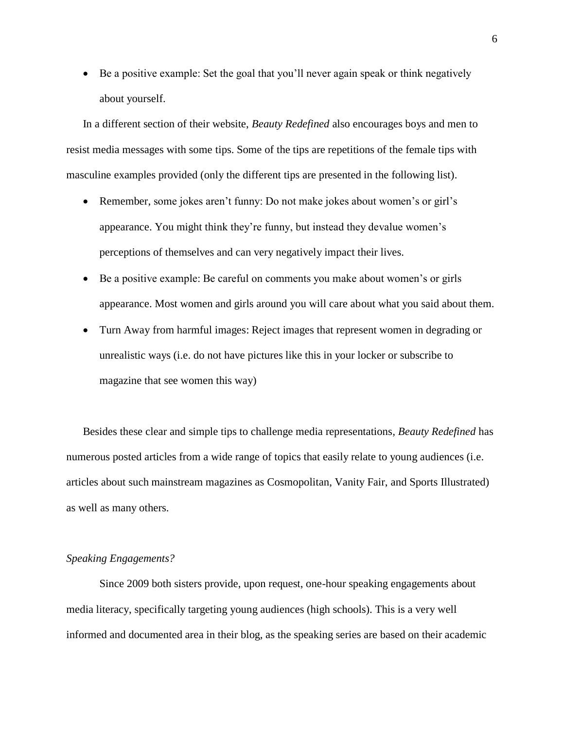Be a positive example: Set the goal that you'll never again speak or think negatively about yourself.

In a different section of their website, *Beauty Redefined* also encourages boys and men to resist media messages with some tips. Some of the tips are repetitions of the female tips with masculine examples provided (only the different tips are presented in the following list).

- Remember, some jokes aren't funny: Do not make jokes about women's or girl's appearance. You might think they're funny, but instead they devalue women's perceptions of themselves and can very negatively impact their lives.
- Be a positive example: Be careful on comments you make about women's or girls appearance. Most women and girls around you will care about what you said about them.
- Turn Away from harmful images: Reject images that represent women in degrading or unrealistic ways (i.e. do not have pictures like this in your locker or subscribe to magazine that see women this way)

Besides these clear and simple tips to challenge media representations*, Beauty Redefined* has numerous posted articles from a wide range of topics that easily relate to young audiences (i.e. articles about such mainstream magazines as Cosmopolitan, Vanity Fair, and Sports Illustrated) as well as many others.

## *Speaking Engagements?*

Since 2009 both sisters provide, upon request, one-hour speaking engagements about media literacy, specifically targeting young audiences (high schools). This is a very well informed and documented area in their blog, as the speaking series are based on their academic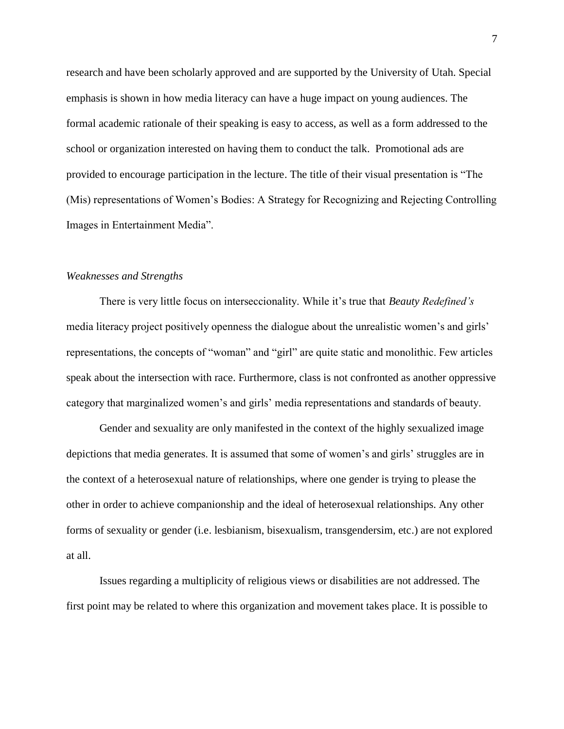research and have been scholarly approved and are supported by the University of Utah. Special emphasis is shown in how media literacy can have a huge impact on young audiences. The formal academic rationale of their speaking is easy to access, as well as a form addressed to the school or organization interested on having them to conduct the talk. Promotional ads are provided to encourage participation in the lecture. The title of their visual presentation is "The (Mis) representations of Women's Bodies: A Strategy for Recognizing and Rejecting Controlling Images in Entertainment Media".

## *Weaknesses and Strengths*

There is very little focus on interseccionality. While it's true that *Beauty Redefined's* media literacy project positively openness the dialogue about the unrealistic women's and girls' representations, the concepts of "woman" and "girl" are quite static and monolithic. Few articles speak about the intersection with race. Furthermore, class is not confronted as another oppressive category that marginalized women's and girls' media representations and standards of beauty.

Gender and sexuality are only manifested in the context of the highly sexualized image depictions that media generates. It is assumed that some of women's and girls' struggles are in the context of a heterosexual nature of relationships, where one gender is trying to please the other in order to achieve companionship and the ideal of heterosexual relationships. Any other forms of sexuality or gender (i.e. lesbianism, bisexualism, transgendersim, etc.) are not explored at all.

Issues regarding a multiplicity of religious views or disabilities are not addressed. The first point may be related to where this organization and movement takes place. It is possible to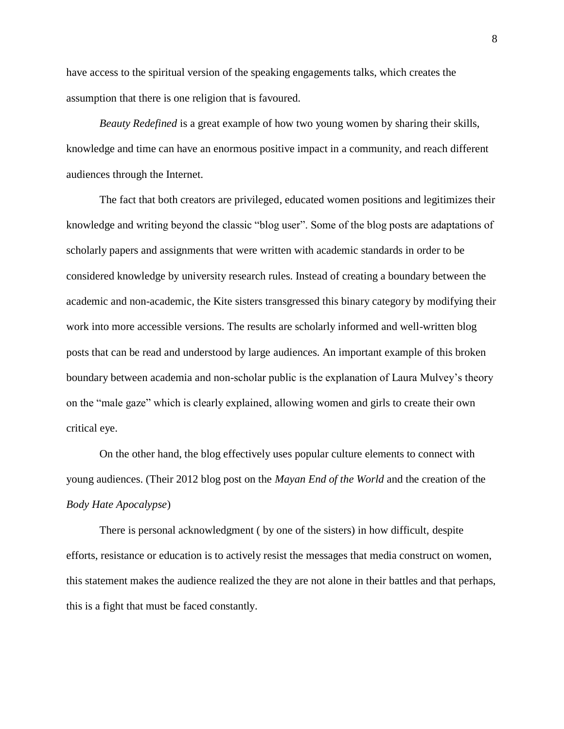have access to the spiritual version of the speaking engagements talks, which creates the assumption that there is one religion that is favoured.

*Beauty Redefined* is a great example of how two young women by sharing their skills, knowledge and time can have an enormous positive impact in a community, and reach different audiences through the Internet.

The fact that both creators are privileged, educated women positions and legitimizes their knowledge and writing beyond the classic "blog user". Some of the blog posts are adaptations of scholarly papers and assignments that were written with academic standards in order to be considered knowledge by university research rules. Instead of creating a boundary between the academic and non-academic, the Kite sisters transgressed this binary category by modifying their work into more accessible versions. The results are scholarly informed and well-written blog posts that can be read and understood by large audiences. An important example of this broken boundary between academia and non-scholar public is the explanation of Laura Mulvey's theory on the "male gaze" which is clearly explained, allowing women and girls to create their own critical eye.

On the other hand, the blog effectively uses popular culture elements to connect with young audiences. (Their 2012 blog post on the *Mayan End of the World* and the creation of the *Body Hate Apocalypse*)

There is personal acknowledgment ( by one of the sisters) in how difficult, despite efforts, resistance or education is to actively resist the messages that media construct on women, this statement makes the audience realized the they are not alone in their battles and that perhaps, this is a fight that must be faced constantly.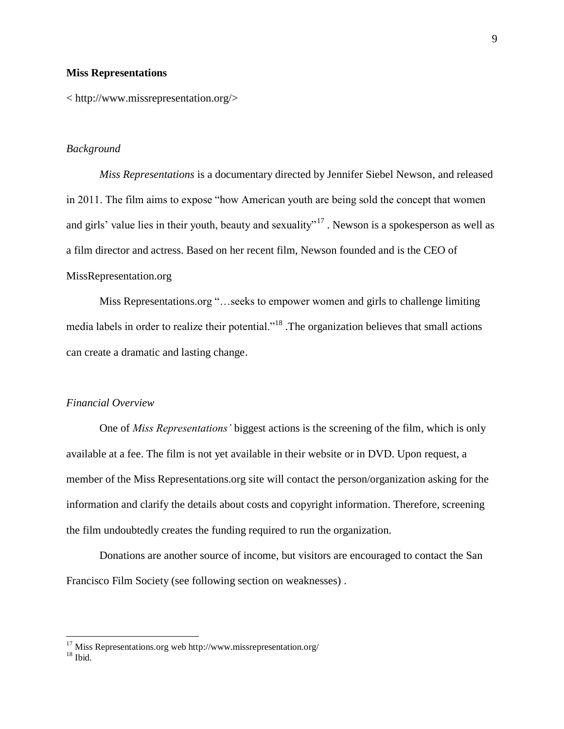#### **Miss Representations**

< http://www.missrepresentation.org/>

#### *Background*

*Miss Representations* is a documentary directed by Jennifer Siebel Newson, and released in 2011. The film aims to expose "how American youth are being sold the concept that women and girls' value lies in their youth, beauty and sexuality"<sup>17</sup>. Newson is a spokesperson as well as a film director and actress. Based on her recent film, Newson founded and is the CEO of MissRepresentation.org

Miss Representations.org "…seeks to empower women and girls to challenge limiting media labels in order to realize their potential."<sup>18</sup> .The organization believes that small actions can create a dramatic and lasting change.

## *Financial Overview*

One of *Miss Representations'* biggest actions is the screening of the film, which is only available at a fee. The film is not yet available in their website or in DVD. Upon request, a member of the Miss Representations.org site will contact the person/organization asking for the information and clarify the details about costs and copyright information. Therefore, screening the film undoubtedly creates the funding required to run the organization.

Donations are another source of income, but visitors are encouraged to contact the San Francisco Film Society (see following section on weaknesses) .

 $17$  Miss Representations.org web http://www.missrepresentation.org/

 $18$  Ibid.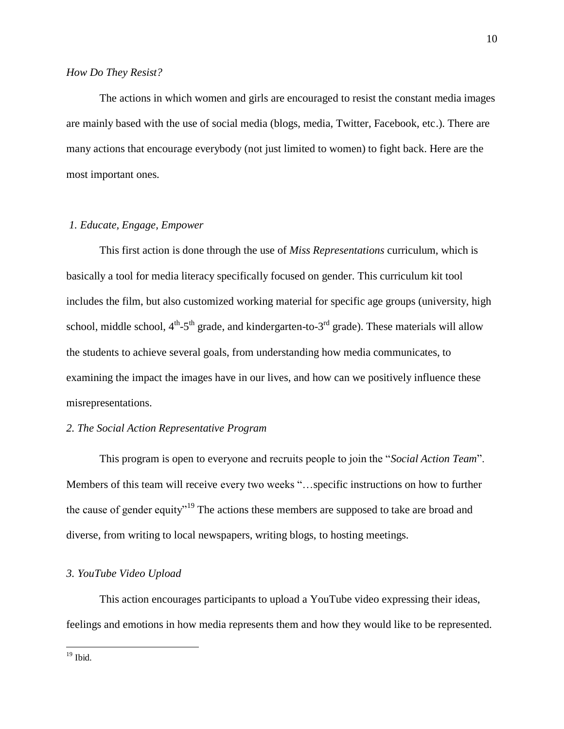## *How Do They Resist?*

The actions in which women and girls are encouraged to resist the constant media images are mainly based with the use of social media (blogs, media, Twitter, Facebook, etc.). There are many actions that encourage everybody (not just limited to women) to fight back. Here are the most important ones.

## *1. Educate, Engage, Empower*

This first action is done through the use of *Miss Representations* curriculum, which is basically a tool for media literacy specifically focused on gender. This curriculum kit tool includes the film, but also customized working material for specific age groups (university, high school, middle school,  $4^{th}$ -5<sup>th</sup> grade, and kindergarten-to-3<sup>rd</sup> grade). These materials will allow the students to achieve several goals, from understanding how media communicates, to examining the impact the images have in our lives, and how can we positively influence these misrepresentations.

## *2. The Social Action Representative Program*

This program is open to everyone and recruits people to join the "*Social Action Team*". Members of this team will receive every two weeks "…specific instructions on how to further the cause of gender equity"<sup>19</sup> The actions these members are supposed to take are broad and diverse, from writing to local newspapers, writing blogs, to hosting meetings.

## *3. YouTube Video Upload*

This action encourages participants to upload a YouTube video expressing their ideas, feelings and emotions in how media represents them and how they would like to be represented.

 $19$  Ibid.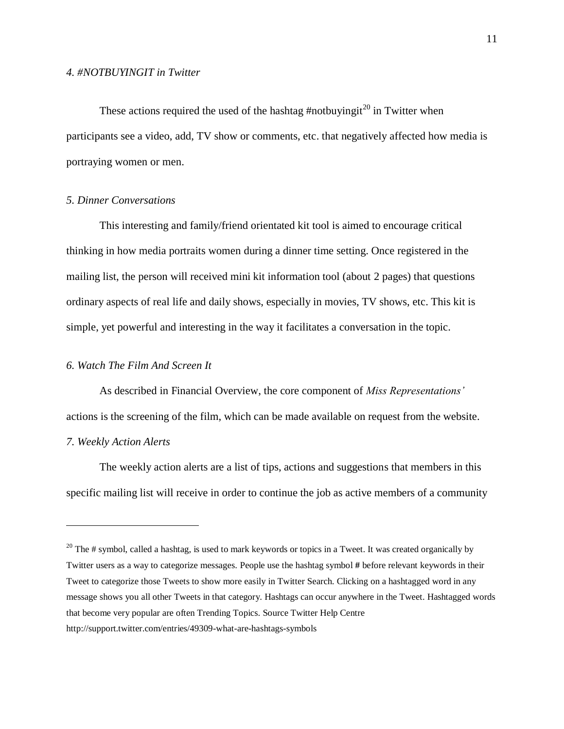These actions required the used of the hashtag #notbuyingit<sup>20</sup> in Twitter when participants see a video, add, TV show or comments, etc. that negatively affected how media is portraying women or men.

### *5. Dinner Conversations*

This interesting and family/friend orientated kit tool is aimed to encourage critical thinking in how media portraits women during a dinner time setting. Once registered in the mailing list, the person will received mini kit information tool (about 2 pages) that questions ordinary aspects of real life and daily shows, especially in movies, TV shows, etc. This kit is simple, yet powerful and interesting in the way it facilitates a conversation in the topic.

## *6. Watch The Film And Screen It*

As described in Financial Overview, the core component of *Miss Representations'* actions is the screening of the film, which can be made available on request from the website.

## *7. Weekly Action Alerts*

 $\overline{a}$ 

The weekly action alerts are a list of tips, actions and suggestions that members in this specific mailing list will receive in order to continue the job as active members of a community

<sup>&</sup>lt;sup>20</sup> The # symbol, called a hashtag, is used to mark keywords or topics in a Tweet. It was created organically by Twitter users as a way to categorize messages. People use the hashtag symbol **#** before relevant keywords in their Tweet to categorize those Tweets to show more easily in Twitter Search. Clicking on a hashtagged word in any message shows you all other Tweets in that category. Hashtags can occur anywhere in the Tweet. Hashtagged words that become very popular are often Trending Topics. Source Twitter Help Centre http://support.twitter.com/entries/49309-what-are-hashtags-symbols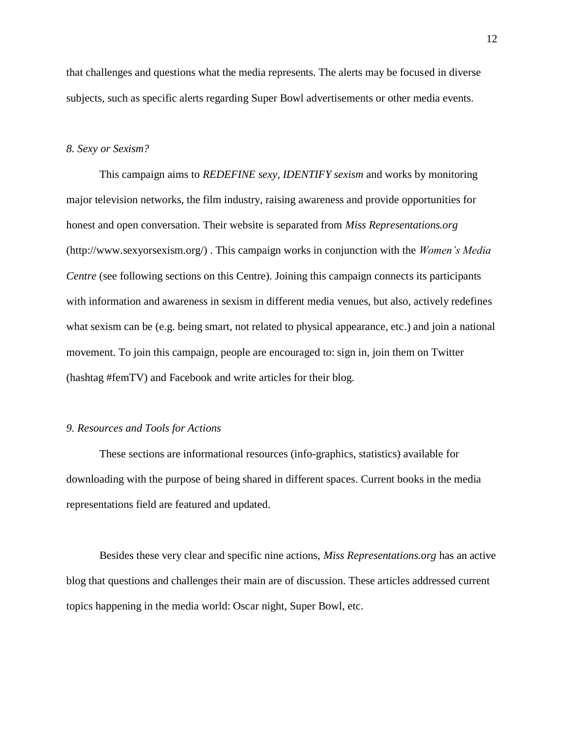that challenges and questions what the media represents. The alerts may be focused in diverse subjects, such as specific alerts regarding Super Bowl advertisements or other media events.

#### *8. Sexy or Sexism?*

This campaign aims to *REDEFINE sexy, IDENTIFY sexism* and works by monitoring major television networks, the film industry, raising awareness and provide opportunities for honest and open conversation. Their website is separated from *Miss Representations.org* (http://www.sexyorsexism.org/) . This campaign works in conjunction with the *Women's Media Centre* (see following sections on this Centre). Joining this campaign connects its participants with information and awareness in sexism in different media venues, but also, actively redefines what sexism can be (e.g. being smart, not related to physical appearance, etc.) and join a national movement. To join this campaign, people are encouraged to: sign in, join them on Twitter (hashtag #femTV) and Facebook and write articles for their blog.

## *9. Resources and Tools for Actions*

These sections are informational resources (info-graphics, statistics) available for downloading with the purpose of being shared in different spaces. Current books in the media representations field are featured and updated.

Besides these very clear and specific nine actions, *Miss Representations.org* has an active blog that questions and challenges their main are of discussion. These articles addressed current topics happening in the media world: Oscar night, Super Bowl, etc.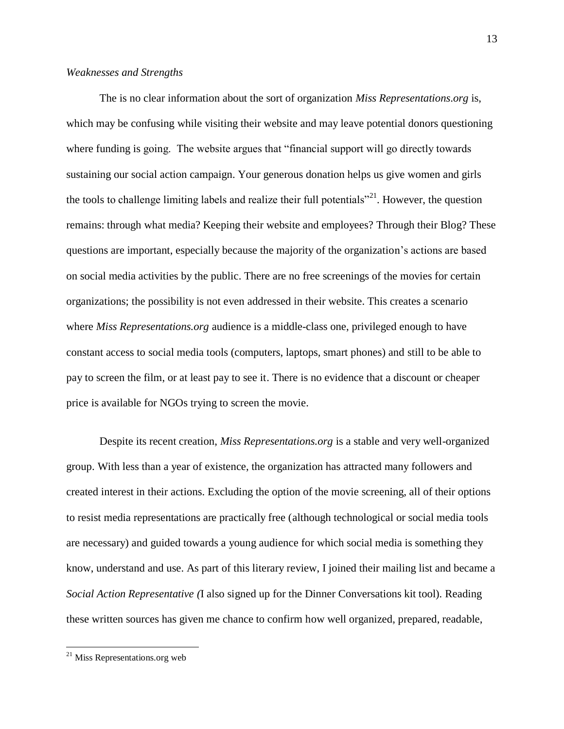## *Weaknesses and Strengths*

The is no clear information about the sort of organization *Miss Representations*.*org* is, which may be confusing while visiting their website and may leave potential donors questioning where funding is going. The website argues that "financial support will go directly towards sustaining our social action campaign. Your generous donation helps us give women and girls the tools to challenge limiting labels and realize their full potentials"<sup>21</sup>. However, the question remains: through what media? Keeping their website and employees? Through their Blog? These questions are important, especially because the majority of the organization's actions are based on social media activities by the public. There are no free screenings of the movies for certain organizations; the possibility is not even addressed in their website. This creates a scenario where *Miss Representations.org* audience is a middle-class one, privileged enough to have constant access to social media tools (computers, laptops, smart phones) and still to be able to pay to screen the film, or at least pay to see it. There is no evidence that a discount or cheaper price is available for NGOs trying to screen the movie.

Despite its recent creation, *Miss Representations.org* is a stable and very well-organized group. With less than a year of existence, the organization has attracted many followers and created interest in their actions. Excluding the option of the movie screening, all of their options to resist media representations are practically free (although technological or social media tools are necessary) and guided towards a young audience for which social media is something they know, understand and use. As part of this literary review, I joined their mailing list and became a *Social Action Representative (*I also signed up for the Dinner Conversations kit tool)*.* Reading these written sources has given me chance to confirm how well organized, prepared, readable,

 $21$  Miss Representations.org web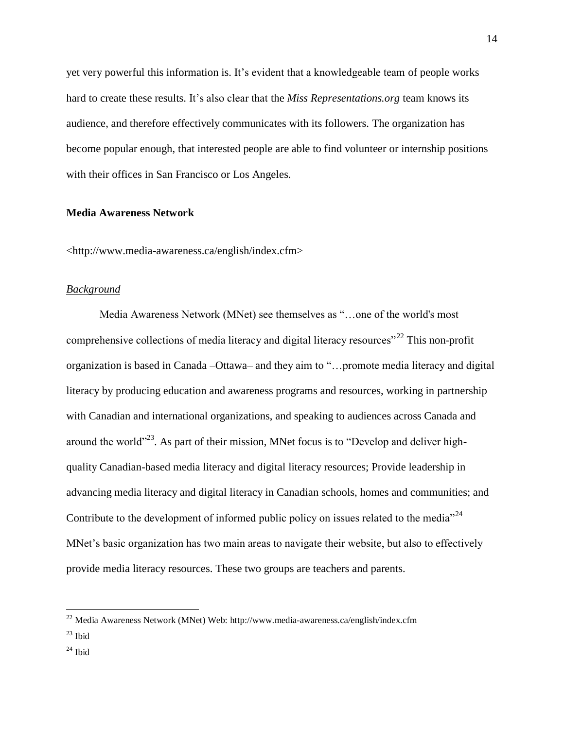yet very powerful this information is. It's evident that a knowledgeable team of people works hard to create these results. It's also clear that the *Miss Representations.org* team knows its audience, and therefore effectively communicates with its followers. The organization has become popular enough, that interested people are able to find volunteer or internship positions with their offices in San Francisco or Los Angeles.

## **Media Awareness Network**

<http://www.media-awareness.ca/english/index.cfm>

#### *Background*

Media Awareness Network (MNet) see themselves as "…one of the world's most comprehensive collections of media literacy and digital literacy resources<sup>"22</sup> This non-profit organization is based in Canada –Ottawa– and they aim to "…promote media literacy and digital literacy by producing education and awareness programs and resources, working in partnership with Canadian and international organizations, and speaking to audiences across Canada and around the world"<sup>23</sup>. As part of their mission, MNet focus is to "Develop and deliver highquality Canadian-based media literacy and digital literacy resources; Provide leadership in advancing media literacy and digital literacy in Canadian schools, homes and communities; and Contribute to the development of informed public policy on issues related to the media"<sup>24</sup> MNet's basic organization has two main areas to navigate their website, but also to effectively provide media literacy resources. These two groups are teachers and parents.

 $22$  Media Awareness Network (MNet) Web: http://www.media-awareness.ca/english/index.cfm

 $^{23}$  Ibid

 $^{24}$  Ibid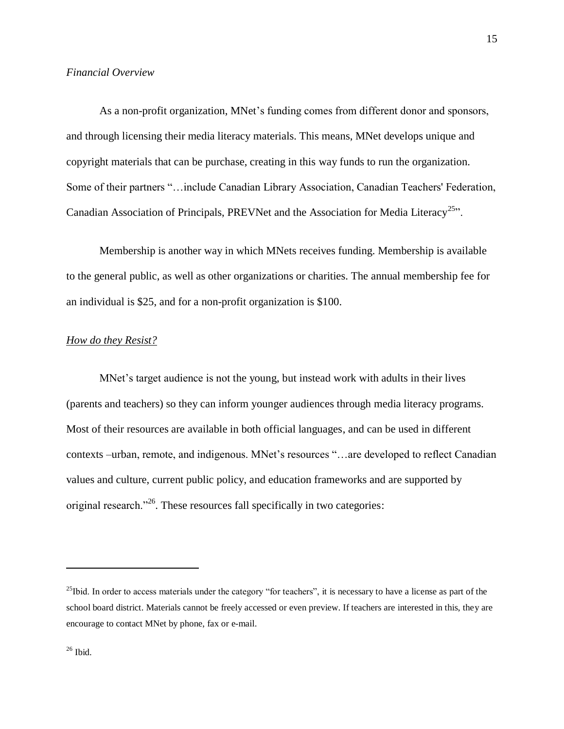As a non-profit organization, MNet's funding comes from different donor and sponsors, and through licensing their media literacy materials. This means, MNet develops unique and copyright materials that can be purchase, creating in this way funds to run the organization. Some of their partners "…include Canadian Library Association, Canadian Teachers' Federation, Canadian Association of Principals, PREVNet and the Association for Media Literacy<sup>25</sup>".

Membership is another way in which MNets receives funding. Membership is available to the general public, as well as other organizations or charities. The annual membership fee for an individual is \$25, and for a non-profit organization is \$100.

## *How do they Resist?*

MNet's target audience is not the young, but instead work with adults in their lives (parents and teachers) so they can inform younger audiences through media literacy programs. Most of their resources are available in both official languages, and can be used in different contexts –urban, remote, and indigenous. MNet's resources "…are developed to reflect Canadian values and culture, current public policy, and education frameworks and are supported by original research."<sup>26</sup>. These resources fall specifically in two categories:

<sup>&</sup>lt;sup>25</sup>Ibid. In order to access materials under the category "for teachers", it is necessary to have a license as part of the school board district. Materials cannot be freely accessed or even preview. If teachers are interested in this, they are encourage to contact MNet by phone, fax or e-mail.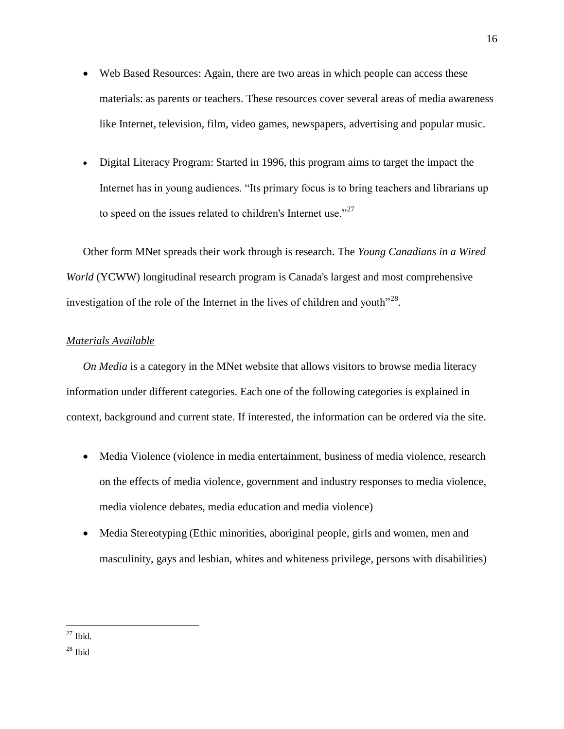- Web Based Resources: Again, there are two areas in which people can access these materials: as parents or teachers. These resources cover several areas of media awareness like Internet, television, film, video games, newspapers, advertising and popular music.
- Digital Literacy Program: Started in 1996, this program aims to target the impact the Internet has in young audiences. "Its primary focus is to bring teachers and librarians up to speed on the issues related to children's Internet use."<sup>27</sup>

Other form MNet spreads their work through is research. The *Young Canadians in a Wired World* (YCWW) longitudinal research program is Canada's largest and most comprehensive investigation of the role of the Internet in the lives of children and youth $128$ .

## *Materials Available*

*On Media* is a category in the MNet website that allows visitors to browse media literacy information under different categories. Each one of the following categories is explained in context, background and current state. If interested, the information can be ordered via the site.

- Media Violence (violence in media entertainment, business of media violence, research on the effects of media violence, government and industry responses to media violence, media violence debates, media education and media violence)
- Media Stereotyping (Ethic minorities, aboriginal people, girls and women, men and masculinity, gays and lesbian, whites and whiteness privilege, persons with disabilities)

 $\overline{a}$  $27$  Ibid.

 $28$  Ibid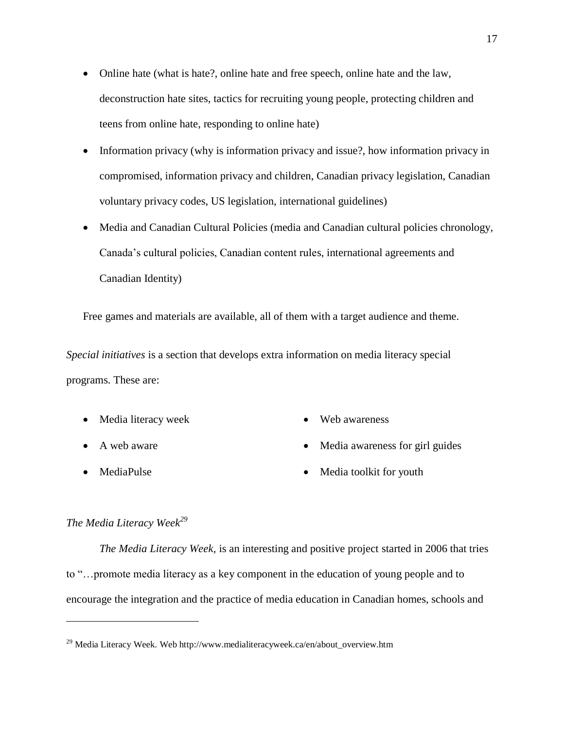- Online hate (what is hate?, online hate and free speech, online hate and the law, deconstruction hate sites, tactics for recruiting young people, protecting children and teens from online hate, responding to online hate)
- Information privacy (why is information privacy and issue?, how information privacy in compromised, information privacy and children, Canadian privacy legislation, Canadian voluntary privacy codes, US legislation, international guidelines)
- Media and Canadian Cultural Policies (media and Canadian cultural policies chronology, Canada's cultural policies, Canadian content rules, international agreements and Canadian Identity)

Free games and materials are available, all of them with a target audience and theme.

*Special initiatives* is a section that develops extra information on media literacy special programs. These are:

- Media literacy week
- A web aware
- MediaPulse

 $\overline{a}$ 

- Web awareness
- Media awareness for girl guides
- Media toolkit for youth

## *The Media Literacy Week<sup>29</sup>*

*The Media Literacy Week,* is an interesting and positive project started in 2006 that tries to "…promote media literacy as a key component in the education of young people and to encourage the integration and the practice of media education in Canadian homes, schools and

<sup>&</sup>lt;sup>29</sup> Media Literacy Week. Web http://www.medialiteracyweek.ca/en/about\_overview.htm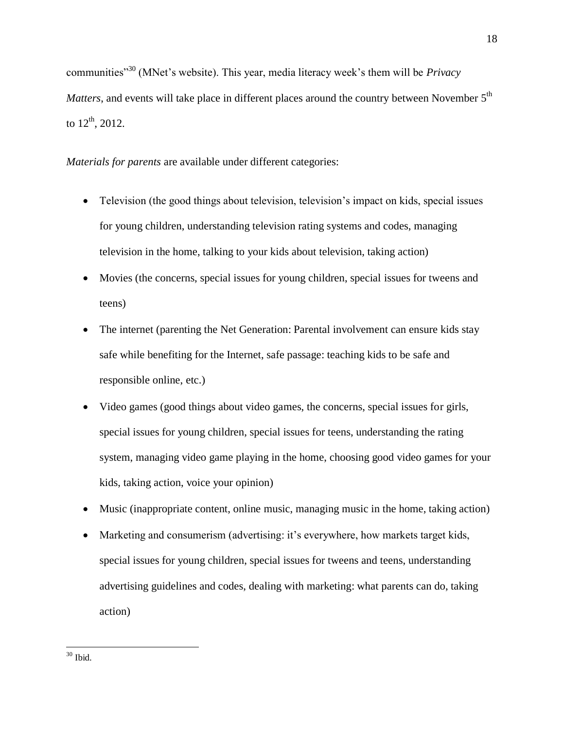communities"<sup>30</sup> (MNet's website). This year, media literacy week's them will be *Privacy Matters*, and events will take place in different places around the country between November 5<sup>th</sup> to  $12^{th}$ , 2012.

*Materials for parents* are available under different categories:

- Television (the good things about television, television's impact on kids, special issues for young children, understanding television rating systems and codes, managing television in the home, talking to your kids about television, taking action)
- Movies (the concerns, special issues for young children, special issues for tweens and teens)
- The internet (parenting the Net Generation: Parental involvement can ensure kids stay safe while benefiting for the Internet, safe passage: teaching kids to be safe and responsible online, etc.)
- Video games (good things about video games, the concerns, special issues for girls, special issues for young children, special issues for teens, understanding the rating system, managing video game playing in the home, choosing good video games for your kids, taking action, voice your opinion)
- Music (inappropriate content, online music, managing music in the home, taking action)
- Marketing and consumerism (advertising: it's everywhere, how markets target kids, special issues for young children, special issues for tweens and teens, understanding advertising guidelines and codes, dealing with marketing: what parents can do, taking action)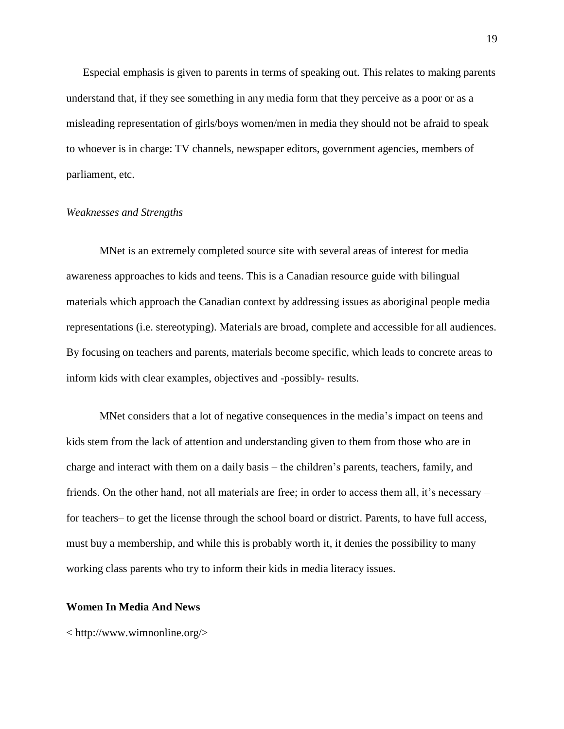Especial emphasis is given to parents in terms of speaking out. This relates to making parents understand that, if they see something in any media form that they perceive as a poor or as a misleading representation of girls/boys women/men in media they should not be afraid to speak to whoever is in charge: TV channels, newspaper editors, government agencies, members of parliament, etc.

#### *Weaknesses and Strengths*

MNet is an extremely completed source site with several areas of interest for media awareness approaches to kids and teens. This is a Canadian resource guide with bilingual materials which approach the Canadian context by addressing issues as aboriginal people media representations (i.e. stereotyping). Materials are broad, complete and accessible for all audiences. By focusing on teachers and parents, materials become specific, which leads to concrete areas to inform kids with clear examples, objectives and -possibly- results.

MNet considers that a lot of negative consequences in the media's impact on teens and kids stem from the lack of attention and understanding given to them from those who are in charge and interact with them on a daily basis – the children's parents, teachers, family, and friends. On the other hand, not all materials are free; in order to access them all, it's necessary – for teachers– to get the license through the school board or district. Parents, to have full access, must buy a membership, and while this is probably worth it, it denies the possibility to many working class parents who try to inform their kids in media literacy issues.

## **Women In Media And News**

< http://www.wimnonline.org/>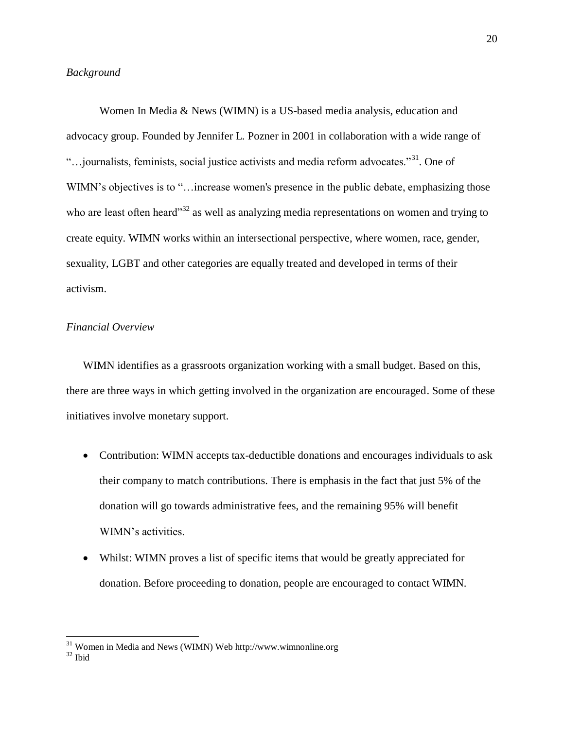## *Background*

Women In Media & News (WIMN) is a US-based media analysis, education and advocacy group. Founded by Jennifer L. Pozner in 2001 in collaboration with a wide range of "... journalists, feminists, social justice activists and media reform advocates."<sup>31</sup>. One of WIMN's objectives is to "... increase women's presence in the public debate, emphasizing those who are least often heard<sup>33</sup> as well as analyzing media representations on women and trying to create equity. WIMN works within an intersectional perspective, where women, race, gender, sexuality, LGBT and other categories are equally treated and developed in terms of their activism.

## *Financial Overview*

WIMN identifies as a grassroots organization working with a small budget. Based on this, there are three ways in which getting involved in the organization are encouraged. Some of these initiatives involve monetary support.

- Contribution: WIMN accepts tax-deductible donations and encourages individuals to ask their company to match contributions. There is emphasis in the fact that just 5% of the donation will go towards administrative fees, and the remaining 95% will benefit WIMN's activities.
- Whilst: WIMN proves a list of specific items that would be greatly appreciated for donation. Before proceeding to donation, people are encouraged to contact WIMN.

 $31$  Women in Media and News (WIMN) Web http://www.wimnonline.org

<sup>32</sup> Ibid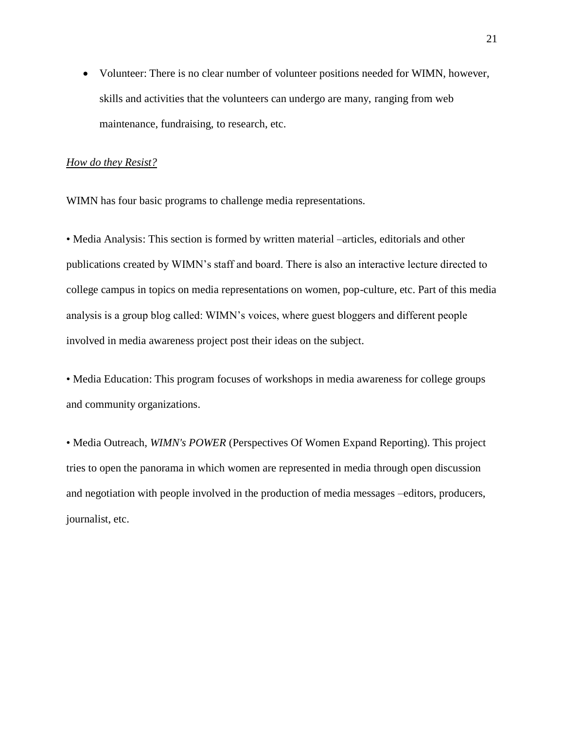Volunteer: There is no clear number of volunteer positions needed for WIMN, however, skills and activities that the volunteers can undergo are many, ranging from web maintenance, fundraising, to research, etc.

#### *How do they Resist?*

WIMN has four basic programs to challenge media representations.

• Media Analysis: This section is formed by written material –articles, editorials and other publications created by WIMN's staff and board. There is also an interactive lecture directed to college campus in topics on media representations on women, pop-culture, etc. Part of this media analysis is a group blog called: WIMN's voices, where guest bloggers and different people involved in media awareness project post their ideas on the subject.

• Media Education: This program focuses of workshops in media awareness for college groups and community organizations.

• Media Outreach, *WIMN's POWER* (Perspectives Of Women Expand Reporting). This project tries to open the panorama in which women are represented in media through open discussion and negotiation with people involved in the production of media messages –editors, producers, journalist, etc.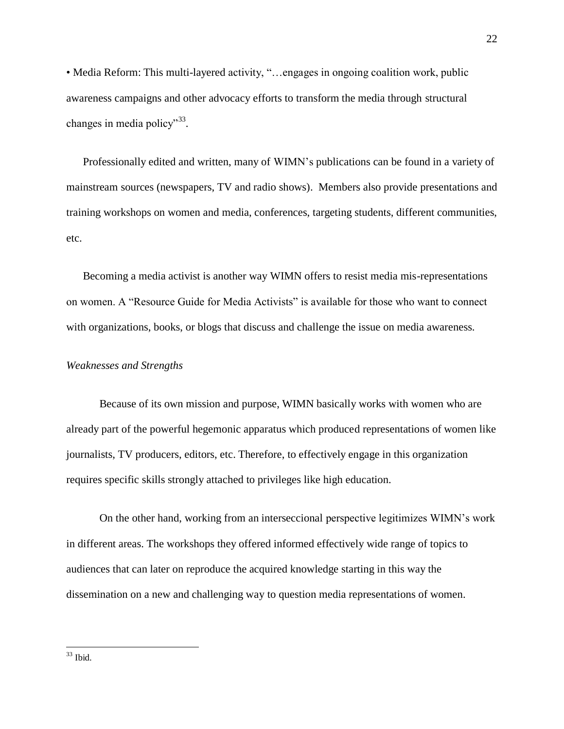• Media Reform: This multi-layered activity, "...engages in ongoing coalition work, public awareness campaigns and other advocacy efforts to transform the media through structural changes in media policy"<sup>33</sup>.

Professionally edited and written, many of WIMN's publications can be found in a variety of mainstream sources (newspapers, TV and radio shows). Members also provide presentations and training workshops on women and media, conferences, targeting students, different communities, etc.

Becoming a media activist is another way WIMN offers to resist media mis-representations on women. A "Resource Guide for Media Activists" is available for those who want to connect with organizations, books, or blogs that discuss and challenge the issue on media awareness.

## *Weaknesses and Strengths*

Because of its own mission and purpose, WIMN basically works with women who are already part of the powerful hegemonic apparatus which produced representations of women like journalists, TV producers, editors, etc. Therefore, to effectively engage in this organization requires specific skills strongly attached to privileges like high education.

On the other hand, working from an interseccional perspective legitimizes WIMN's work in different areas. The workshops they offered informed effectively wide range of topics to audiences that can later on reproduce the acquired knowledge starting in this way the dissemination on a new and challenging way to question media representations of women.

 $33$  Ibid.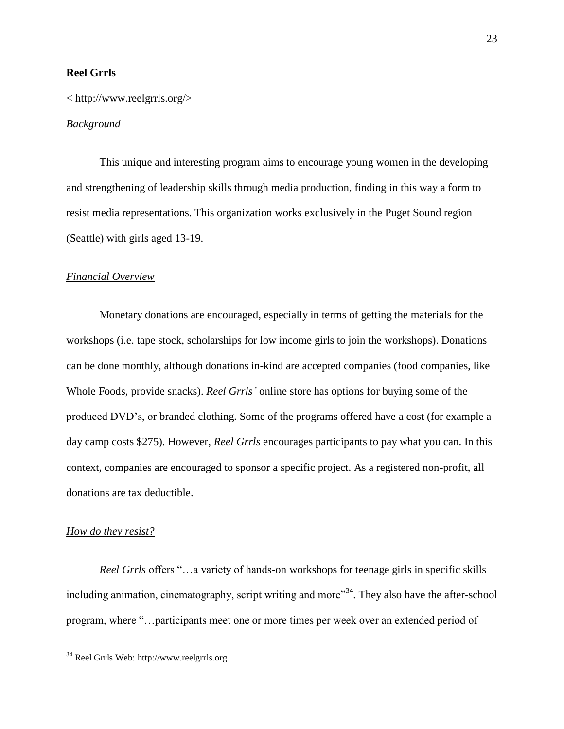## **Reel Grrls**

## < http://www.reelgrrls.org/>

## *Background*

This unique and interesting program aims to encourage young women in the developing and strengthening of leadership skills through media production, finding in this way a form to resist media representations. This organization works exclusively in the Puget Sound region (Seattle) with girls aged 13-19.

## *Financial Overview*

Monetary donations are encouraged, especially in terms of getting the materials for the workshops (i.e. tape stock, scholarships for low income girls to join the workshops). Donations can be done monthly, although donations in-kind are accepted companies (food companies, like Whole Foods, provide snacks). *Reel Grrls'* online store has options for buying some of the produced DVD's, or branded clothing. Some of the programs offered have a cost (for example a day camp costs \$275). However, *Reel Grrls* encourages participants to pay what you can. In this context, companies are encouraged to sponsor a specific project. As a registered non-profit, all donations are tax deductible.

## *How do they resist?*

 $\overline{a}$ 

*Reel Grrls* offers "…a variety of hands-on workshops for teenage girls in specific skills including animation, cinematography, script writing and more"<sup>34</sup>. They also have the after-school program, where "…participants meet one or more times per week over an extended period of

<sup>34</sup> Reel Grrls Web: http://www.reelgrrls.org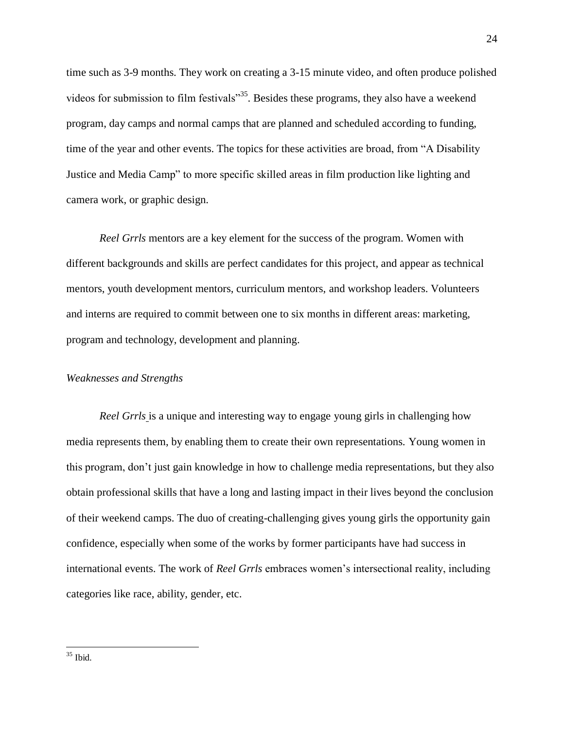time such as 3-9 months. They work on creating a 3-15 minute video, and often produce polished videos for submission to film festivals<sup>355</sup>. Besides these programs, they also have a weekend program, day camps and normal camps that are planned and scheduled according to funding, time of the year and other events. The topics for these activities are broad, from "A Disability Justice and Media Camp" to more specific skilled areas in film production like lighting and camera work, or graphic design.

*Reel Grrls* mentors are a key element for the success of the program. Women with different backgrounds and skills are perfect candidates for this project, and appear as technical mentors, youth development mentors, curriculum mentors, and workshop leaders. Volunteers and interns are required to commit between one to six months in different areas: marketing, program and technology, development and planning.

## *Weaknesses and Strengths*

*Reel Grrls* is a unique and interesting way to engage young girls in challenging how media represents them, by enabling them to create their own representations. Young women in this program, don't just gain knowledge in how to challenge media representations, but they also obtain professional skills that have a long and lasting impact in their lives beyond the conclusion of their weekend camps. The duo of creating-challenging gives young girls the opportunity gain confidence, especially when some of the works by former participants have had success in international events. The work of *Reel Grrls* embraces women's intersectional reality, including categories like race, ability, gender, etc.

<sup>35</sup> Ibid.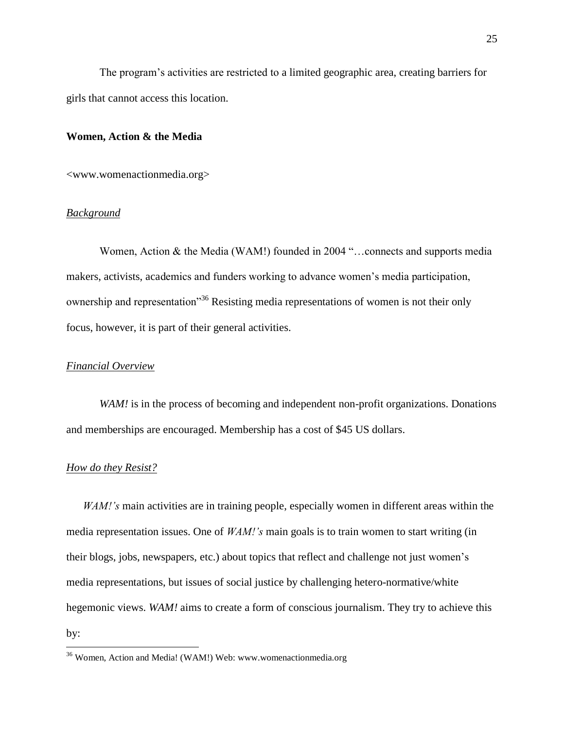The program's activities are restricted to a limited geographic area, creating barriers for girls that cannot access this location.

#### **Women, Action & the Media**

<www.womenactionmedia.org>

#### *Background*

Women, Action & the Media (WAM!) founded in 2004 "…connects and supports media makers, activists, academics and funders working to advance women's media participation, ownership and representation<sup>356</sup> Resisting media representations of women is not their only focus, however, it is part of their general activities.

## *Financial Overview*

*WAM!* is in the process of becoming and independent non-profit organizations. Donations and memberships are encouraged. Membership has a cost of \$45 US dollars.

### *How do they Resist?*

 $\overline{a}$ 

*WAM!'s* main activities are in training people, especially women in different areas within the media representation issues. One of *WAM!'s* main goals is to train women to start writing (in their blogs, jobs, newspapers, etc.) about topics that reflect and challenge not just women's media representations, but issues of social justice by challenging hetero-normative/white hegemonic views. *WAM!* aims to create a form of conscious journalism. They try to achieve this by:

<sup>&</sup>lt;sup>36</sup> Women, Action and Media! (WAM!) Web: www.womenactionmedia.org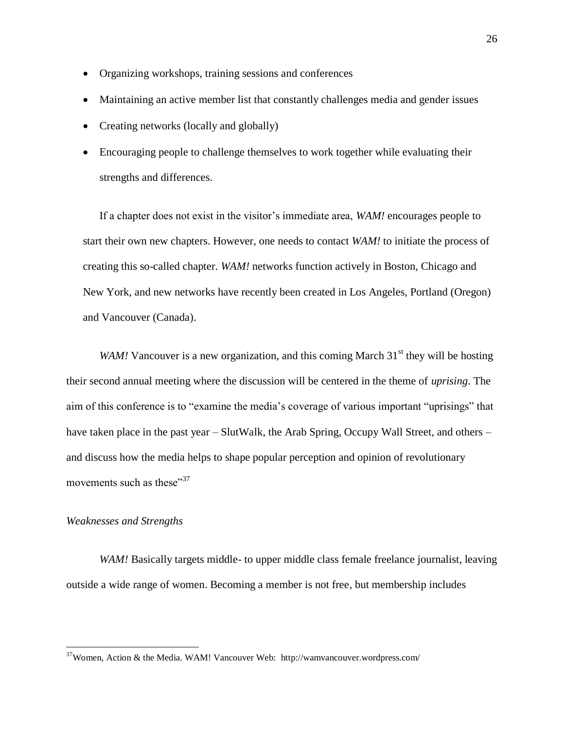- Organizing workshops, training sessions and conferences
- Maintaining an active member list that constantly challenges media and gender issues
- Creating networks (locally and globally)
- Encouraging people to challenge themselves to work together while evaluating their strengths and differences.

If a chapter does not exist in the visitor's immediate area, *WAM!* encourages people to start their own new chapters. However, one needs to contact *WAM!* to initiate the process of creating this so-called chapter. *WAM!* networks function actively in Boston, Chicago and New York, and new networks have recently been created in Los Angeles, Portland (Oregon) and Vancouver (Canada).

*WAM!* Vancouver is a new organization, and this coming March  $31<sup>st</sup>$  they will be hosting their second annual meeting where the discussion will be centered in the theme of *uprising*. The aim of this conference is to "examine the media's coverage of various important "uprisings" that have taken place in the past year – SlutWalk, the Arab Spring, Occupy Wall Street, and others – and discuss how the media helps to shape popular perception and opinion of revolutionary movements such as these"<sup>37</sup>

## *Weaknesses and Strengths*

 $\overline{a}$ 

*WAM!* Basically targets middle- to upper middle class female freelance journalist, leaving outside a wide range of women. Becoming a member is not free, but membership includes

 $37$ Women, Action & the Media. WAM! Vancouver Web: http://wamvancouver.wordpress.com/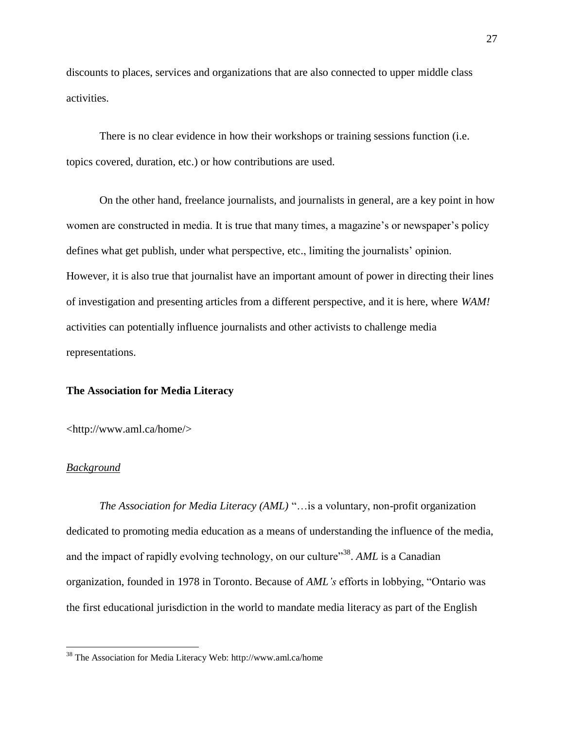discounts to places, services and organizations that are also connected to upper middle class activities.

There is no clear evidence in how their workshops or training sessions function (i.e. topics covered, duration, etc.) or how contributions are used.

On the other hand, freelance journalists, and journalists in general, are a key point in how women are constructed in media. It is true that many times, a magazine's or newspaper's policy defines what get publish, under what perspective, etc., limiting the journalists' opinion. However, it is also true that journalist have an important amount of power in directing their lines of investigation and presenting articles from a different perspective, and it is here, where *WAM!* activities can potentially influence journalists and other activists to challenge media representations.

## **The Association for Media Literacy**

<http://www.aml.ca/home/>

#### *Background*

 $\overline{a}$ 

*The Association for Media Literacy (AML)* "…is a voluntary, non-profit organization dedicated to promoting media education as a means of understanding the influence of the media, and the impact of rapidly evolving technology, on our culture"<sup>38</sup>. AML is a Canadian organization, founded in 1978 in Toronto. Because of *AML's* efforts in lobbying, "Ontario was the first educational jurisdiction in the world to mandate media literacy as part of the English

<sup>38</sup> The Association for Media Literacy Web: http://www.aml.ca/home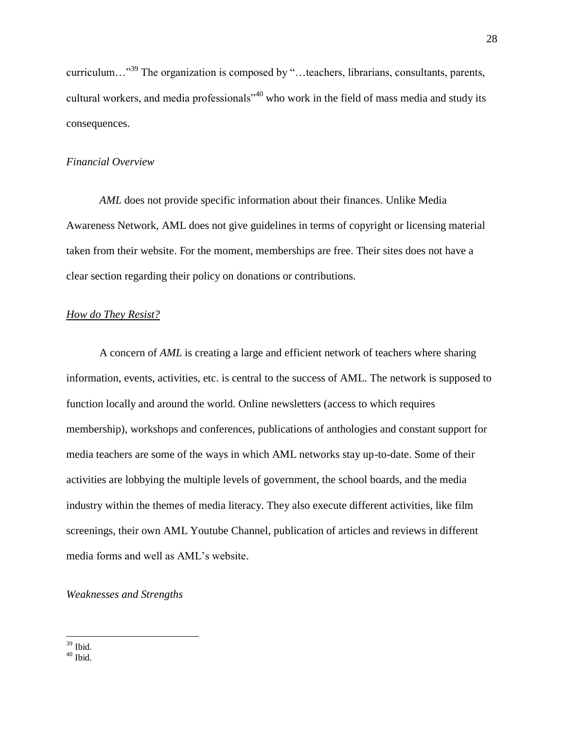curriculum…"<sup>39</sup> The organization is composed by "…teachers, librarians, consultants, parents, cultural workers, and media professionals<sup>740</sup> who work in the field of mass media and study its consequences.

## *Financial Overview*

*AML* does not provide specific information about their finances. Unlike Media Awareness Network, AML does not give guidelines in terms of copyright or licensing material taken from their website. For the moment, memberships are free. Their sites does not have a clear section regarding their policy on donations or contributions.

## *How do They Resist?*

A concern of *AML* is creating a large and efficient network of teachers where sharing information, events, activities, etc. is central to the success of AML. The network is supposed to function locally and around the world. Online newsletters (access to which requires membership), workshops and conferences, publications of anthologies and constant support for media teachers are some of the ways in which AML networks stay up-to-date. Some of their activities are lobbying the multiple levels of government, the school boards, and the media industry within the themes of media literacy. They also execute different activities, like film screenings, their own AML Youtube Channel, publication of articles and reviews in different media forms and well as AML's website.

#### *Weaknesses and Strengths*

 $\overline{a}$ <sup>39</sup> Ibid.

 $40$  Ibid.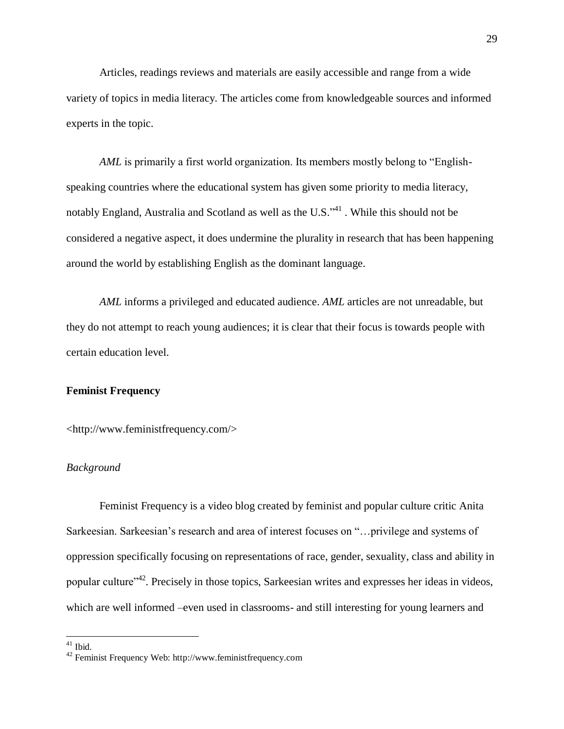Articles, readings reviews and materials are easily accessible and range from a wide variety of topics in media literacy. The articles come from knowledgeable sources and informed experts in the topic.

*AML* is primarily a first world organization. Its members mostly belong to "Englishspeaking countries where the educational system has given some priority to media literacy, notably England, Australia and Scotland as well as the U.S.<sup>341</sup>. While this should not be considered a negative aspect, it does undermine the plurality in research that has been happening around the world by establishing English as the dominant language.

*AML* informs a privileged and educated audience. *AML* articles are not unreadable, but they do not attempt to reach young audiences; it is clear that their focus is towards people with certain education level.

## **Feminist Frequency**

<http://www.feministfrequency.com/>

#### *Background*

Feminist Frequency is a video blog created by feminist and popular culture critic Anita Sarkeesian. Sarkeesian's research and area of interest focuses on "…privilege and systems of oppression specifically focusing on representations of race, gender, sexuality, class and ability in popular culture<sup>,42</sup>. Precisely in those topics, Sarkeesian writes and expresses her ideas in videos, which are well informed –even used in classrooms- and still interesting for young learners and

 $41$  Ibid.

<sup>42</sup> Feminist Frequency Web: http://www.feministfrequency.com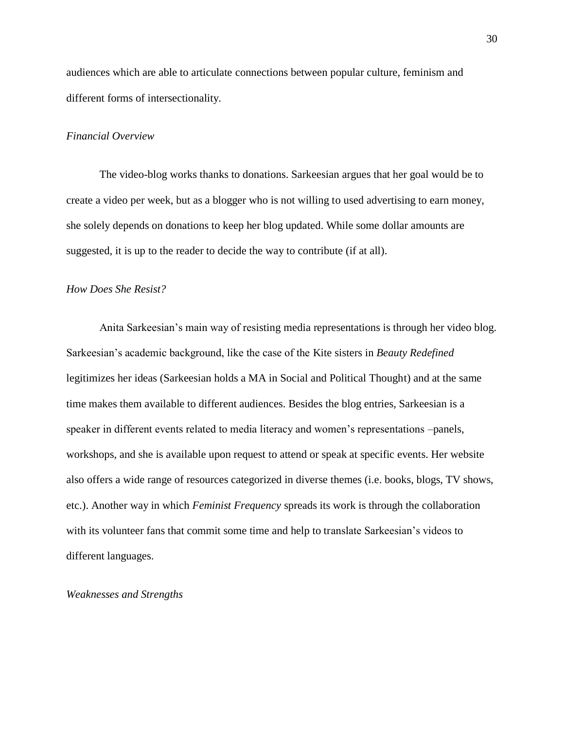audiences which are able to articulate connections between popular culture, feminism and different forms of intersectionality.

## *Financial Overview*

The video-blog works thanks to donations. Sarkeesian argues that her goal would be to create a video per week, but as a blogger who is not willing to used advertising to earn money, she solely depends on donations to keep her blog updated. While some dollar amounts are suggested, it is up to the reader to decide the way to contribute (if at all).

## *How Does She Resist?*

Anita Sarkeesian's main way of resisting media representations is through her video blog. Sarkeesian's academic background, like the case of the Kite sisters in *Beauty Redefined* legitimizes her ideas (Sarkeesian holds a MA in Social and Political Thought) and at the same time makes them available to different audiences. Besides the blog entries, Sarkeesian is a speaker in different events related to media literacy and women's representations –panels, workshops, and she is available upon request to attend or speak at specific events. Her website also offers a wide range of resources categorized in diverse themes (i.e. books, blogs, TV shows, etc.). Another way in which *Feminist Frequency* spreads its work is through the collaboration with its volunteer fans that commit some time and help to translate Sarkeesian's videos to different languages.

#### *Weaknesses and Strengths*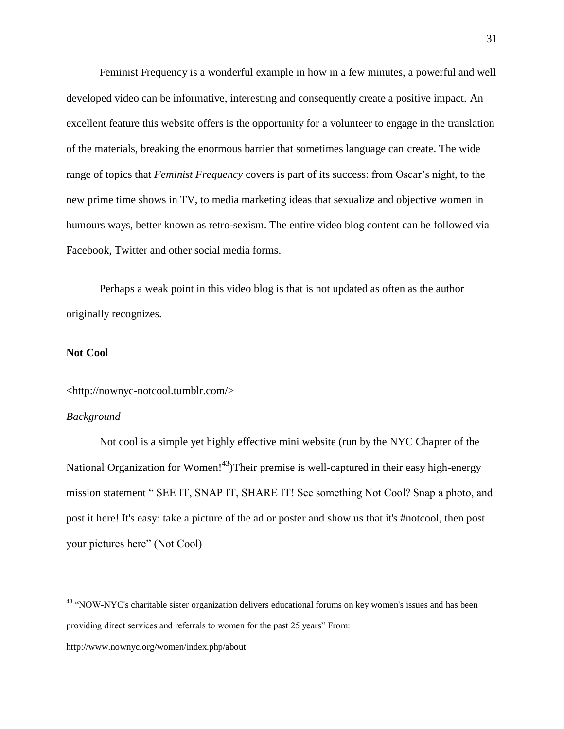Feminist Frequency is a wonderful example in how in a few minutes, a powerful and well developed video can be informative, interesting and consequently create a positive impact. An excellent feature this website offers is the opportunity for a volunteer to engage in the translation of the materials, breaking the enormous barrier that sometimes language can create. The wide range of topics that *Feminist Frequency* covers is part of its success: from Oscar's night, to the new prime time shows in TV, to media marketing ideas that sexualize and objective women in humours ways, better known as retro-sexism. The entire video blog content can be followed via Facebook, Twitter and other social media forms.

Perhaps a weak point in this video blog is that is not updated as often as the author originally recognizes.

#### **Not Cool**

<http://nownyc-notcool.tumblr.com/>

#### *Background*

 $\overline{a}$ 

Not cool is a simple yet highly effective mini website (run by the NYC Chapter of the National Organization for Women!<sup>43</sup>)Their premise is well-captured in their easy high-energy mission statement " SEE IT, SNAP IT, SHARE IT! See something Not Cool? Snap a photo, and post it here! It's easy: take a picture of the ad or poster and show us that it's #notcool, then post your pictures here" (Not Cool)

http://www.nownyc.org/women/index.php/about

<sup>&</sup>lt;sup>43</sup> "NOW-NYC's charitable sister organization delivers educational forums on key women's issues and has been providing direct services and referrals to women for the past 25 years" From: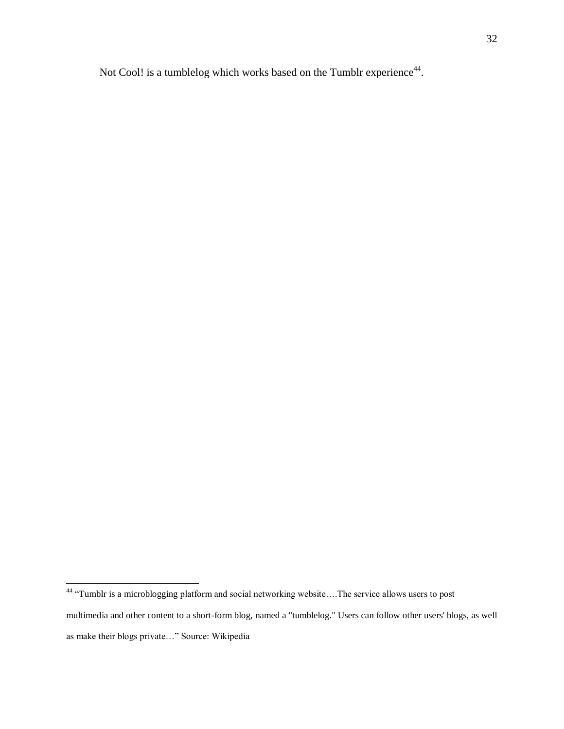Not Cool! is a tumblelog which works based on the Tumblr experience<sup>44</sup>.

<sup>&</sup>lt;sup>44</sup> "Tumblr is a [microblogging](http://en.wikipedia.org/wiki/Microblogging) platform and social networking website....The service allows users to post multimedia and other content to a short-form blog, named a "tumblelog." Users can follow other users' blogs, as well as make their blogs private…" Source: Wikipedia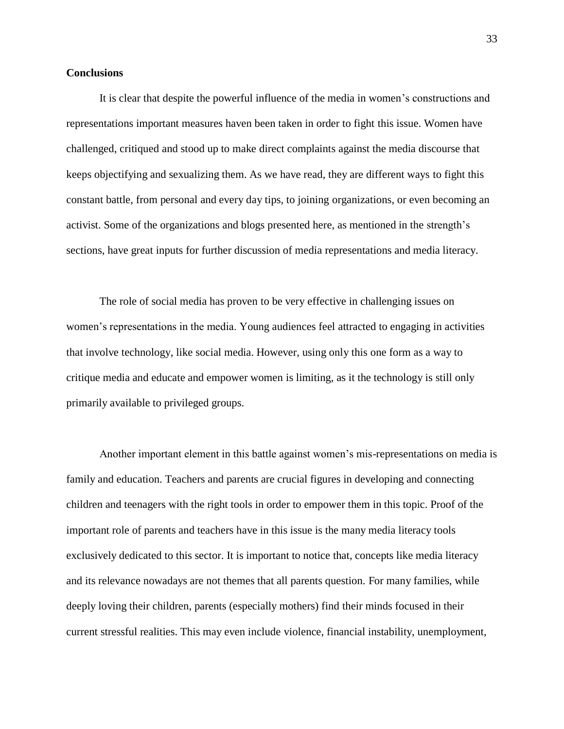#### **Conclusions**

It is clear that despite the powerful influence of the media in women's constructions and representations important measures haven been taken in order to fight this issue. Women have challenged, critiqued and stood up to make direct complaints against the media discourse that keeps objectifying and sexualizing them. As we have read, they are different ways to fight this constant battle, from personal and every day tips, to joining organizations, or even becoming an activist. Some of the organizations and blogs presented here, as mentioned in the strength's sections, have great inputs for further discussion of media representations and media literacy.

The role of social media has proven to be very effective in challenging issues on women's representations in the media. Young audiences feel attracted to engaging in activities that involve technology, like social media. However, using only this one form as a way to critique media and educate and empower women is limiting, as it the technology is still only primarily available to privileged groups.

Another important element in this battle against women's mis-representations on media is family and education. Teachers and parents are crucial figures in developing and connecting children and teenagers with the right tools in order to empower them in this topic. Proof of the important role of parents and teachers have in this issue is the many media literacy tools exclusively dedicated to this sector. It is important to notice that, concepts like media literacy and its relevance nowadays are not themes that all parents question. For many families, while deeply loving their children, parents (especially mothers) find their minds focused in their current stressful realities. This may even include violence, financial instability, unemployment,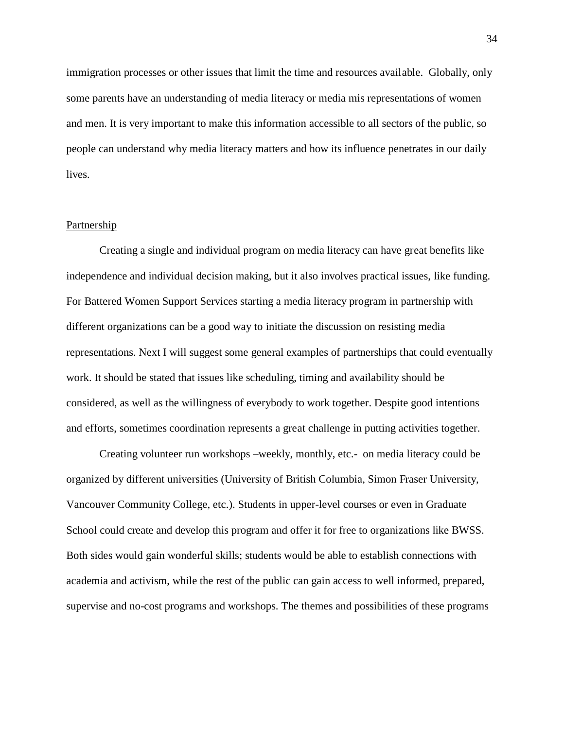immigration processes or other issues that limit the time and resources available. Globally, only some parents have an understanding of media literacy or media mis representations of women and men. It is very important to make this information accessible to all sectors of the public, so people can understand why media literacy matters and how its influence penetrates in our daily lives.

## **Partnership**

Creating a single and individual program on media literacy can have great benefits like independence and individual decision making, but it also involves practical issues, like funding. For Battered Women Support Services starting a media literacy program in partnership with different organizations can be a good way to initiate the discussion on resisting media representations. Next I will suggest some general examples of partnerships that could eventually work. It should be stated that issues like scheduling, timing and availability should be considered, as well as the willingness of everybody to work together. Despite good intentions and efforts, sometimes coordination represents a great challenge in putting activities together.

Creating volunteer run workshops –weekly, monthly, etc.- on media literacy could be organized by different universities (University of British Columbia, Simon Fraser University, Vancouver Community College, etc.). Students in upper-level courses or even in Graduate School could create and develop this program and offer it for free to organizations like BWSS. Both sides would gain wonderful skills; students would be able to establish connections with academia and activism, while the rest of the public can gain access to well informed, prepared, supervise and no-cost programs and workshops. The themes and possibilities of these programs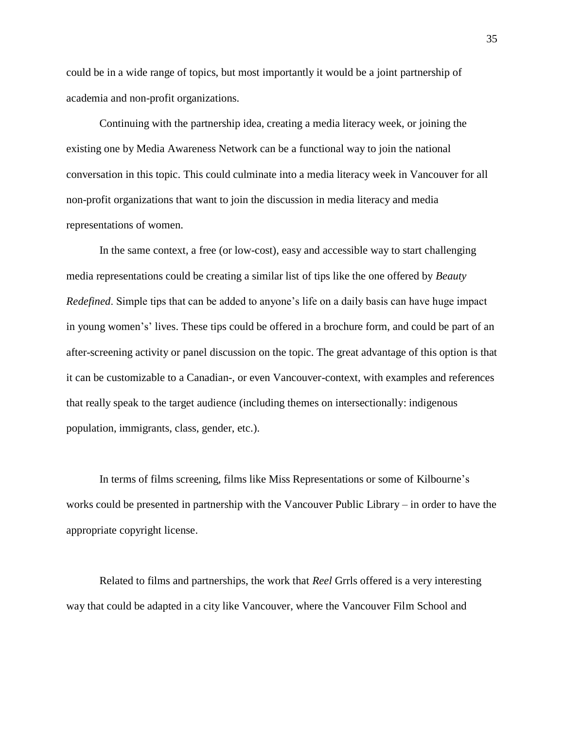could be in a wide range of topics, but most importantly it would be a joint partnership of academia and non-profit organizations.

Continuing with the partnership idea, creating a media literacy week, or joining the existing one by Media Awareness Network can be a functional way to join the national conversation in this topic. This could culminate into a media literacy week in Vancouver for all non-profit organizations that want to join the discussion in media literacy and media representations of women.

In the same context, a free (or low-cost), easy and accessible way to start challenging media representations could be creating a similar list of tips like the one offered by *Beauty Redefined*. Simple tips that can be added to anyone's life on a daily basis can have huge impact in young women's' lives. These tips could be offered in a brochure form, and could be part of an after-screening activity or panel discussion on the topic. The great advantage of this option is that it can be customizable to a Canadian-, or even Vancouver-context, with examples and references that really speak to the target audience (including themes on intersectionally: indigenous population, immigrants, class, gender, etc.).

In terms of films screening, films like Miss Representations or some of Kilbourne's works could be presented in partnership with the Vancouver Public Library – in order to have the appropriate copyright license.

Related to films and partnerships, the work that *Reel* Grrls offered is a very interesting way that could be adapted in a city like Vancouver, where the Vancouver Film School and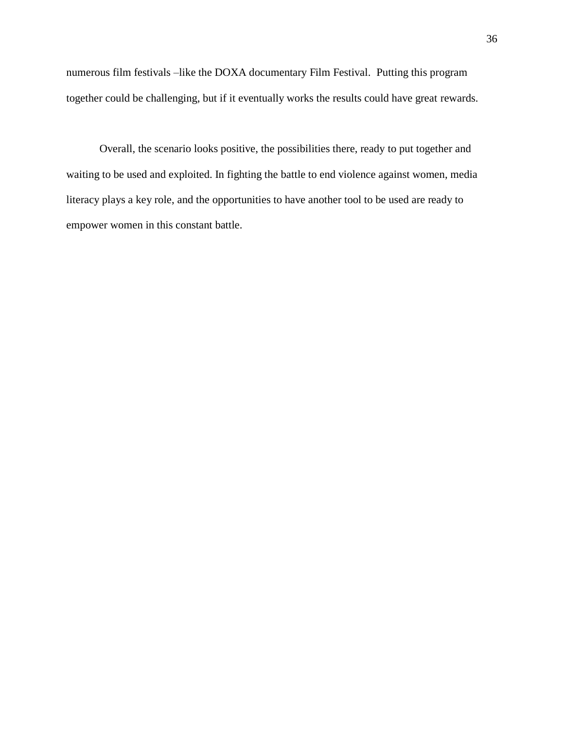numerous film festivals –like the DOXA documentary Film Festival. Putting this program together could be challenging, but if it eventually works the results could have great rewards.

Overall, the scenario looks positive, the possibilities there, ready to put together and waiting to be used and exploited. In fighting the battle to end violence against women, media literacy plays a key role, and the opportunities to have another tool to be used are ready to empower women in this constant battle.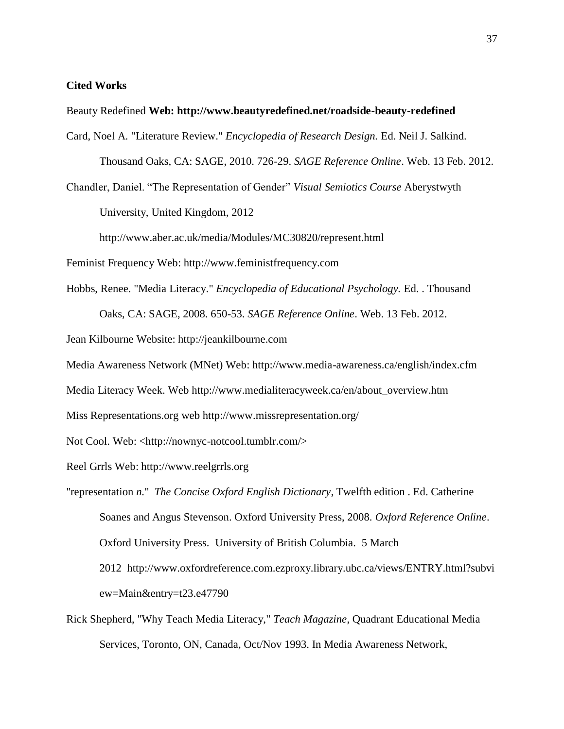#### **Cited Works**

Beauty Redefined **Web: http://www.beautyredefined.net/roadside-beauty-redefined**

Card, Noel A. "Literature Review." *Encyclopedia of Research Design.* Ed. Neil J. Salkind. Thousand Oaks, CA: SAGE, 2010. 726-29. *SAGE Reference Online*. Web. 13 Feb. 2012.

Chandler, Daniel. "The Representation of Gender" *Visual Semiotics Course* Aberystwyth University, United Kingdom, 2012

http://www.aber.ac.uk/media/Modules/MC30820/represent.html

Feminist Frequency Web: http://www.feministfrequency.com

Hobbs, Renee. "Media Literacy." *Encyclopedia of Educational Psychology.* Ed. . Thousand

Oaks, CA: SAGE, 2008. 650-53. *SAGE Reference Online*. Web. 13 Feb. 2012.

Jean Kilbourne Website: http://jeankilbourne.com

Media Awareness Network (MNet) Web: http://www.media-awareness.ca/english/index.cfm

Media Literacy Week. Web http://www.medialiteracyweek.ca/en/about\_overview.htm

Miss Representations.org web http://www.missrepresentation.org/

Not Cool. Web: <http://nownyc-notcool.tumblr.com/>

Reel Grrls Web: http://www.reelgrrls.org

"representation *n.*" *The Concise Oxford English Dictionary*, Twelfth edition . Ed. Catherine Soanes and Angus Stevenson. Oxford University Press, 2008. *Oxford Reference Online*. Oxford University Press. University of British Columbia. 5 March 2012 http://www.oxfordreference.com.ezproxy.library.ubc.ca/views/ENTRY.html?subvi ew=Main&entry=t23.e47790

Rick Shepherd, "Why Teach Media Literacy," *Teach Magazine*, Quadrant Educational Media Services, Toronto, ON, Canada, Oct/Nov 1993. In Media Awareness Network,